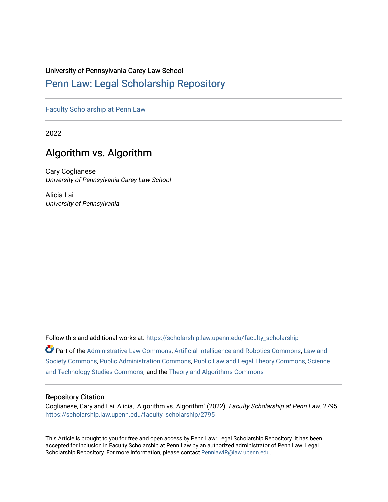# University of Pennsylvania Carey Law School

# [Penn Law: Legal Scholarship Repository](https://scholarship.law.upenn.edu/)

[Faculty Scholarship at Penn Law](https://scholarship.law.upenn.edu/faculty_scholarship)

2022

# Algorithm vs. Algorithm

Cary Coglianese University of Pennsylvania Carey Law School

Alicia Lai University of Pennsylvania

Follow this and additional works at: [https://scholarship.law.upenn.edu/faculty\\_scholarship](https://scholarship.law.upenn.edu/faculty_scholarship?utm_source=scholarship.law.upenn.edu%2Ffaculty_scholarship%2F2795&utm_medium=PDF&utm_campaign=PDFCoverPages) 

Part of the [Administrative Law Commons,](http://network.bepress.com/hgg/discipline/579?utm_source=scholarship.law.upenn.edu%2Ffaculty_scholarship%2F2795&utm_medium=PDF&utm_campaign=PDFCoverPages) [Artificial Intelligence and Robotics Commons](http://network.bepress.com/hgg/discipline/143?utm_source=scholarship.law.upenn.edu%2Ffaculty_scholarship%2F2795&utm_medium=PDF&utm_campaign=PDFCoverPages), [Law and](http://network.bepress.com/hgg/discipline/853?utm_source=scholarship.law.upenn.edu%2Ffaculty_scholarship%2F2795&utm_medium=PDF&utm_campaign=PDFCoverPages)  [Society Commons](http://network.bepress.com/hgg/discipline/853?utm_source=scholarship.law.upenn.edu%2Ffaculty_scholarship%2F2795&utm_medium=PDF&utm_campaign=PDFCoverPages), [Public Administration Commons](http://network.bepress.com/hgg/discipline/398?utm_source=scholarship.law.upenn.edu%2Ffaculty_scholarship%2F2795&utm_medium=PDF&utm_campaign=PDFCoverPages), [Public Law and Legal Theory Commons,](http://network.bepress.com/hgg/discipline/871?utm_source=scholarship.law.upenn.edu%2Ffaculty_scholarship%2F2795&utm_medium=PDF&utm_campaign=PDFCoverPages) [Science](http://network.bepress.com/hgg/discipline/435?utm_source=scholarship.law.upenn.edu%2Ffaculty_scholarship%2F2795&utm_medium=PDF&utm_campaign=PDFCoverPages) [and Technology Studies Commons,](http://network.bepress.com/hgg/discipline/435?utm_source=scholarship.law.upenn.edu%2Ffaculty_scholarship%2F2795&utm_medium=PDF&utm_campaign=PDFCoverPages) and the [Theory and Algorithms Commons](http://network.bepress.com/hgg/discipline/151?utm_source=scholarship.law.upenn.edu%2Ffaculty_scholarship%2F2795&utm_medium=PDF&utm_campaign=PDFCoverPages)

# Repository Citation

Coglianese, Cary and Lai, Alicia, "Algorithm vs. Algorithm" (2022). Faculty Scholarship at Penn Law. 2795. [https://scholarship.law.upenn.edu/faculty\\_scholarship/2795](https://scholarship.law.upenn.edu/faculty_scholarship/2795?utm_source=scholarship.law.upenn.edu%2Ffaculty_scholarship%2F2795&utm_medium=PDF&utm_campaign=PDFCoverPages)

This Article is brought to you for free and open access by Penn Law: Legal Scholarship Repository. It has been accepted for inclusion in Faculty Scholarship at Penn Law by an authorized administrator of Penn Law: Legal Scholarship Repository. For more information, please contact [PennlawIR@law.upenn.edu.](mailto:PennlawIR@law.upenn.edu)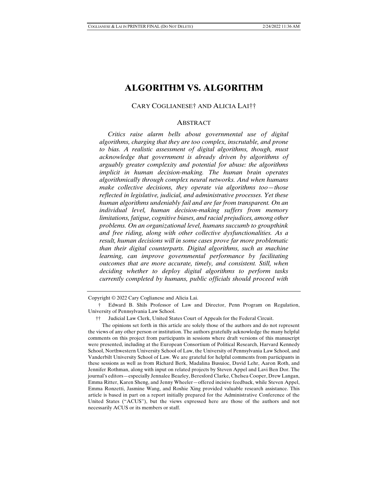# **ALGORITHM VS. ALGORITHM**

#### CARY COGLIANESE† AND ALICIA LAI††

#### ABSTRACT

 *Critics raise alarm bells about governmental use of digital algorithms, charging that they are too complex, inscrutable, and prone to bias. A realistic assessment of digital algorithms, though, must acknowledge that government is already driven by algorithms of arguably greater complexity and potential for abuse: the algorithms implicit in human decision-making. The human brain operates algorithmically through complex neural networks. And when humans make collective decisions, they operate via algorithms too—those reflected in legislative, judicial, and administrative processes. Yet these human algorithms undeniably fail and are far from transparent. On an individual level, human decision-making suffers from memory limitations, fatigue, cognitive biases, and racial prejudices, among other problems. On an organizational level, humans succumb to groupthink and free riding, along with other collective dysfunctionalities. As a result, human decisions will in some cases prove far more problematic than their digital counterparts. Digital algorithms, such as machine learning, can improve governmental performance by facilitating outcomes that are more accurate, timely, and consistent. Still, when deciding whether to deploy digital algorithms to perform tasks currently completed by humans, public officials should proceed with* 

Copyright © 2022 Cary Coglianese and Alicia Lai.

 <sup>†</sup> Edward B. Shils Professor of Law and Director, Penn Program on Regulation, University of Pennsylvania Law School.

 <sup>††</sup> Judicial Law Clerk, United States Court of Appeals for the Federal Circuit.

The opinions set forth in this article are solely those of the authors and do not represent the views of any other person or institution. The authors gratefully acknowledge the many helpful comments on this project from participants in sessions where draft versions of this manuscript were presented, including at the European Consortium of Political Research, Harvard Kennedy School, Northwestern University School of Law, the University of Pennsylvania Law School, and Vanderbilt University School of Law. We are grateful for helpful comments from participants in these sessions as well as from Richard Berk, Madalina Busuioc, David Lehr, Aaron Roth, and Jennifer Rothman, along with input on related projects by Steven Appel and Lavi Ben Dor. The journal's editors—especially Jennalee Beazley, Beresford Clarke, Chelsea Cooper, Drew Langan, Emma Ritter, Karen Sheng, and Jenny Wheeler—offered incisive feedback, while Steven Appel, Emma Ronzetti, Jasmine Wang, and Roshie Xing provided valuable research assistance. This article is based in part on a report initially prepared for the Administrative Conference of the United States ("ACUS"), but the views expressed here are those of the authors and not necessarily ACUS or its members or staff.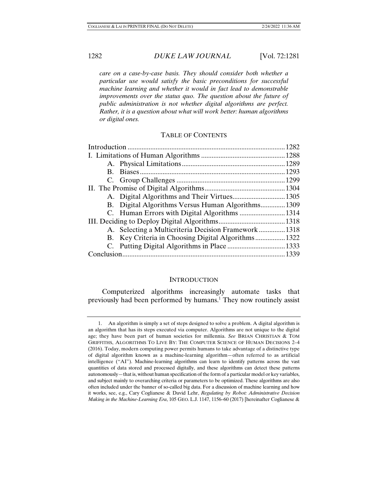*care on a case-by-case basis. They should consider both whether a particular use would satisfy the basic preconditions for successful machine learning and whether it would in fact lead to demonstrable improvements over the status quo. The question about the future of public administration is not whether digital algorithms are perfect. Rather, it is a question about what will work better: human algorithms or digital ones.* 

### TABLE OF CONTENTS

|  | B. Digital Algorithms Versus Human Algorithms1309   |  |
|--|-----------------------------------------------------|--|
|  |                                                     |  |
|  |                                                     |  |
|  | A. Selecting a Multicriteria Decision Framework1318 |  |
|  | B. Key Criteria in Choosing Digital Algorithms 1322 |  |
|  |                                                     |  |
|  |                                                     |  |

#### **INTRODUCTION**

Computerized algorithms increasingly automate tasks that previously had been performed by humans.<sup>1</sup> They now routinely assist

 <sup>1.</sup> An algorithm is simply a set of steps designed to solve a problem. A digital algorithm is an algorithm that has its steps executed via computer. Algorithms are not unique to the digital age; they have been part of human societies for millennia. *See* BRIAN CHRISTIAN & TOM GRIFFITHS, ALGORITHMS TO LIVE BY: THE COMPUTER SCIENCE OF HUMAN DECISIONS 2–4 (2016). Today, modern computing power permits humans to take advantage of a distinctive type of digital algorithm known as a machine-learning algorithm—often referred to as artificial intelligence ("AI"). Machine-learning algorithms can learn to identify patterns across the vast quantities of data stored and processed digitally, and these algorithms can detect these patterns autonomously—that is, without human specification of the form of a particular model or key variables, and subject mainly to overarching criteria or parameters to be optimized. These algorithms are also often included under the banner of so-called big data. For a discussion of machine learning and how it works, see, e.g., Cary Coglianese & David Lehr, *Regulating by Robot: Administrative Decision Making in the Machine-Learning Era*, 105 GEO. L.J. 1147, 1156–60 (2017) [hereinafter Coglianese &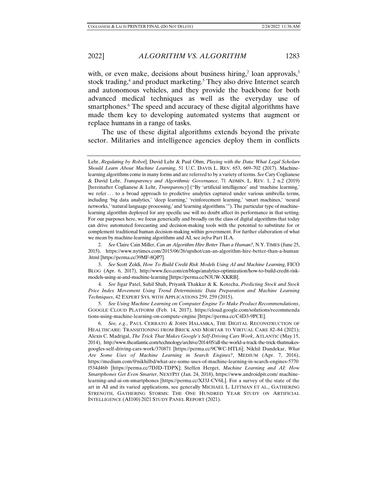with, or even make, decisions about business hiring,<sup>2</sup> loan approvals,<sup>3</sup> stock trading,<sup>4</sup> and product marketing.<sup>5</sup> They also drive Internet search and autonomous vehicles, and they provide the backbone for both advanced medical techniques as well as the everyday use of smartphones.<sup>6</sup> The speed and accuracy of these digital algorithms have made them key to developing automated systems that augment or replace humans in a range of tasks.

The use of these digital algorithms extends beyond the private sector. Militaries and intelligence agencies deploy them in conflicts

 2. *See* Claire Cain Miller, *Can an Algorithm Hire Better Than a Human?*, N.Y.TIMES (June 25, 2015), https://www.nytimes.com/2015/06/26/upshot/can-an-algorithm-hire-better-than-a-human .html [https://perma.cc/39MF-8QP7].

Lehr, *Regulating by Robot*]; David Lehr & Paul Ohm, *Playing with the Data: What Legal Scholars Should Learn About Machine Learning*, 51 U.C. DAVIS L. REV. 653, 669–702 (2017). Machinelearning algorithms come in many forms and are referred to by a variety of terms. *See* Cary Coglianese & David Lehr, *Transparency and Algorithmic Governance*, 71 ADMIN. L. REV. 1, 2 n.2 (2019) [hereinafter Coglianese & Lehr, *Transparency*] ("By 'artificial intelligence' and 'machine learning,' we refer . . . to a broad approach to predictive analytics captured under various umbrella terms, including 'big data analytics,' 'deep learning,' 'reinforcement learning,' 'smart machines,' 'neural networks,' 'natural language processing,' and 'learning algorithms.'"). The particular type of machinelearning algorithm deployed for any specific use will no doubt affect its performance in that setting. For our purposes here, we focus generically and broadly on the class of digital algorithms that today can drive automated forecasting and decision-making tools with the potential to substitute for or complement traditional human decision-making within government. For further elaboration of what we mean by machine-learning algorithms and AI, see *infra* Part II.A.

 <sup>3.</sup> *See* Scott Zoldi, *How To Build Credit Risk Models Using AI and Machine Learning*, FICO BLOG (Apr. 6, 2017), http://www.fico.com/en/blogs/analytics-optimization/how-to-build-credit-riskmodels-using-ai-and-machine-learning [https://perma.cc/N3UW-XKRB].

 <sup>4.</sup> *See* Jigar Patel, Sahil Shah, Priyank Thakkar & K. Kotecha, *Predicting Stock and Stock Price Index Movement Using Trend Deterministic Data Preparation and Machine Learning Techniques*, 42 EXPERT SYS. WITH APPLICATIONS 259, 259 (2015).

 <sup>5.</sup> *See Using Machine Learning on Computer Engine To Make Product Recommendations*, GOOGLE CLOUD PLATFORM (Feb. 14, 2017), https://cloud.google.com/solutions/recommenda tions-using-machine-learning-on-compute-engine [https://perma.cc/C4D3-9PCE].

 <sup>6.</sup> *See, e.g.*, PAUL CERRATO & JOHN HALAMKA, THE DIGITAL RECONSTRUCTION OF HEALTHCARE: TRANSITIONING FROM BRICK AND MORTAR TO VIRTUAL CARE 82–84 (2021); Alexis C. Madrigal, *The Trick That Makes Google's Self-Driving Cars Work*, ATLANTIC (May 15, 2014), http://www.theatlantic.com/technology/archive/2014/05/all-the-world-a-track-the-trick-thatmakesgoogles-self-driving-cars-work/370871 [https://perma.cc/9CWC-HTL6]; Nikhil Dandekar, *What Are Some Uses of Machine Learning in Search Engines?*, MEDIUM (Apr. 7, 2016), https://medium.com/@nikhilbd/what-are-some-uses-of-machine-learning-in-search-engines-5770 f534d46b [https://perma.cc/7DJD-TDPX]; Steffen Herget, *Machine Learning and AI: How Smartphones Get Even Smarter*, NEXTPIT (Jan. 24, 2018), https://www.androidpit.com/ machinelearning-and-ai-on-smartphones [https://perma.cc/XJ3J-CV6L]. For a survey of the state of the art in AI and its varied applications, see generally MICHAEL L. LITTMAN ET AL., GATHERING STRENGTH, GATHERING STORMS: THE ONE HUNDRED YEAR STUDY ON ARTIFICIAL INTELLIGENCE (AI100) 2021 STUDY PANEL REPORT (2021).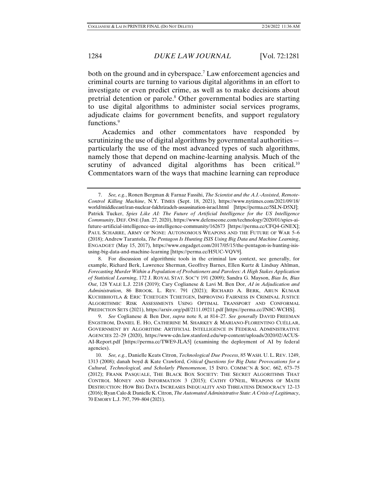both on the ground and in cyberspace.<sup>7</sup> Law enforcement agencies and criminal courts are turning to various digital algorithms in an effort to investigate or even predict crime, as well as to make decisions about pretrial detention or parole.<sup>8</sup> Other governmental bodies are starting to use digital algorithms to administer social services programs, adjudicate claims for government benefits, and support regulatory functions.9

Academics and other commentators have responded by scrutinizing the use of digital algorithms by governmental authorities particularly the use of the most advanced types of such algorithms, namely those that depend on machine-learning analysis. Much of the scrutiny of advanced digital algorithms has been critical.<sup>10</sup> Commentators warn of the ways that machine learning can reproduce

 <sup>7.</sup> *See, e.g.*, Ronen Bergman & Farnaz Fassihi, *The Scientist and the A.I.-Assisted, Remote-Control Killing Machine*, N.Y. TIMES (Sept. 18, 2021), https://www.nytimes.com/2021/09/18/ world/middleeast/iran-nuclear-fakhrizadeh-assassination-israel.html [https://perma.cc/5SLN-D5XJ]; Patrick Tucker, *Spies Like AI: The Future of Artificial Intelligence for the US Intelligence Community*, DEF. ONE (Jan. 27, 2020), https://www.defenseone.com/technology/2020/01/spies-aifuture-artificial-intelligence-us-intelligence-community/162673 [https://perma.cc/CFQ4-GNEX]; PAUL SCHARRE, ARMY OF NONE: AUTONOMOUS WEAPONS AND THE FUTURE OF WAR 5–6 (2018); Andrew Tarantola, *The Pentagon Is Hunting ISIS Using Big Data and Machine Learning*, ENGADGET (May 15, 2017), https://www.engadget.com/2017/05/15/the-pentagon-is-hunting-isisusing-big-data-and-machine-learning [https://perma.cc/H5UC-VQV9].

 <sup>8.</sup> For discussion of algorithmic tools in the criminal law context, see generally, for example, Richard Berk, Lawrence Sherman, Geoffrey Barnes, Ellen Kurtz & Lindsay Ahlman, *Forecasting Murder Within a Population of Probationers and Parolees: A High Stakes Application of Statistical Learning*, 172 J. ROYAL STAT. SOC'Y 191 (2009); Sandra G. Mayson, *Bias In, Bias Out*, 128 YALE L.J. 2218 (2019); Cary Coglianese & Lavi M. Ben Dor, *AI in Adjudication and Administration*, 86 BROOK. L. REV. 791 (2021); RICHARD A. BERK, ARUN KUMAR KUCHIBHOTLA & ERIC TCHETGEN TCHETGEN, IMPROVING FAIRNESS IN CRIMINAL JUSTICE ALGORITHMIC RISK ASSESSMENTS USING OPTIMAL TRANSPORT AND CONFORMAL PREDICTION SETS (2021), https://arxiv.org/pdf/2111.09211.pdf [https://perma.cc/JN8C-WCHS].

 <sup>9.</sup> *See* Coglianese & Ben Dor, *supra* note 8, at 814–27. *See generally* DAVID FREEMAN ENGSTROM, DANIEL E. HO, CATHERINE M. SHARKEY & MARIANO-FLORENTINO CUÉLLAR, GOVERNMENT BY ALGORITHM: ARTIFICIAL INTELLIGENCE IN FEDERAL ADMINISTRATIVE AGENCIES 22–29 (2020), https://www-cdn.law.stanford.edu/wp-content/uploads/2020/02/ACUS-AI-Report.pdf [https://perma.cc/TWE9-JLA5] (examining the deployment of AI by federal agencies).

 <sup>10.</sup> *See, e.g.*, Danielle Keats Citron, *Technological Due Process*, 85 WASH. U. L. REV. 1249, 1313 (2008); danah boyd & Kate Crawford, *Critical Questions for Big Data: Provocations for a Cultural, Technological, and Scholarly Phenomenon*, 15 INFO. COMMC'N & SOC. 662, 673–75 (2012); FRANK PASQUALE, THE BLACK BOX SOCIETY: THE SECRET ALGORITHMS THAT CONTROL MONEY AND INFORMATION 3 (2015); CATHY O'NEIL, WEAPONS OF MATH DESTRUCTION: HOW BIG DATA INCREASES INEQUALITY AND THREATENS DEMOCRACY 12–13 (2016); Ryan Calo & Danielle K. Citron, *The Automated Administrative State: A Crisis of Legitimacy*, 70 EMORY L.J. 797, 799–804 (2021).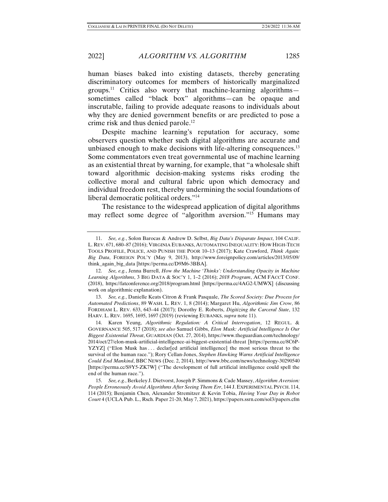2022] *ALGORITHM VS. ALGORITHM* 1285

human biases baked into existing datasets, thereby generating discriminatory outcomes for members of historically marginalized groups.<sup>11</sup> Critics also worry that machine-learning algorithms sometimes called "black box" algorithms—can be opaque and inscrutable, failing to provide adequate reasons to individuals about why they are denied government benefits or are predicted to pose a crime risk and thus denied parole.<sup>12</sup>

Despite machine learning's reputation for accuracy, some observers question whether such digital algorithms are accurate and unbiased enough to make decisions with life-altering consequences.<sup>13</sup> Some commentators even treat governmental use of machine learning as an existential threat by warning, for example, that "a wholesale shift toward algorithmic decision-making systems risks eroding the collective moral and cultural fabric upon which democracy and individual freedom rest, thereby undermining the social foundations of liberal democratic political orders."14

The resistance to the widespread application of digital algorithms may reflect some degree of "algorithm aversion."15 Humans may

 <sup>11.</sup> *See, e.g.*, Solon Barocas & Andrew D. Selbst, *Big Data's Disparate Impact*, 104 CALIF. L. REV. 671, 680–87 (2016); VIRGINIA EUBANKS, AUTOMATING INEQUALITY: HOW HIGH-TECH TOOLS PROFILE, POLICE, AND PUNISH THE POOR 10–13 (2017); Kate Crawford, *Think Again: Big Data*, FOREIGN POL'Y (May 9, 2013), http://www.foreignpolicy.com/articles/2013/05/09/ think\_again\_big\_data [https://perma.cc/D9M6-3BBA].

 <sup>12.</sup> *See, e.g.*, Jenna Burrell, *How the Machine 'Thinks': Understanding Opacity in Machine Learning Algorithms*, 3 BIG DATA & SOC'Y 1, 1–2 (2016); *2018 Program*, ACM FACCT CONF. (2018), https://fatconference.org/2018/program.html [https://perma.cc/4AG2-UMWX] (discussing work on algorithmic explanation).

 <sup>13.</sup> *See, e.g.*, Danielle Keats Citron & Frank Pasquale, *The Scored Society: Due Process for Automated Predictions*, 89 WASH. L. REV. 1, 8 (2014); Margaret Hu, *Algorithmic Jim Crow*, 86 FORDHAM L. REV. 633, 643–44 (2017); Dorothy E. Roberts, *Digitizing the Carceral State*, 132 HARV. L. REV. 1695, 1695, 1697 (2019) (reviewing EUBANKS, *supra* note 11).

 <sup>14.</sup> Karen Yeung, *Algorithmic Regulation: A Critical Interrogation*, 12 REGUL. & GOVERNANCE 505, 517 (2018); *see also* Samuel Gibbs, *Elon Musk: Artificial Intelligence Is Our Biggest Existential Threat*, GUARDIAN (Oct. 27, 2014), https://www.theguardian.com/technology/ 2014/oct/27/elon-musk-artificial-intelligence-ai-biggest-existential-threat [https://perma.cc/8C6P-YZYZ] ("Elon Musk has ... declar [ed artificial intelligence] the most serious threat to the survival of the human race."); Rory Cellan-Jones, *Stephen Hawking Warns Artificial Intelligence Could End Mankind*, BBC NEWS (Dec. 2, 2014), http://www.bbc.com/news/technology-30290540 [https://perma.cc/S9Y5-ZK7W] ("The development of full artificial intelligence could spell the end of the human race.").

 <sup>15.</sup> *See, e.g.*, Berkeley J. Dietvorst, Joseph P. Simmons & Cade Massey, *Algorithm Aversion: People Erroneously Avoid Algorithms After Seeing Them Err*, 144 J. EXPERIMENTAL PSYCH. 114, 114 (2015); Benjamin Chen, Alexander Stremitzer & Kevin Tobia, *Having Your Day in Robot Court* 4 (UCLA Pub. L., Rsch. Paper 21-20, May 7, 2021), https://papers.ssrn.com/sol3/papers.cfm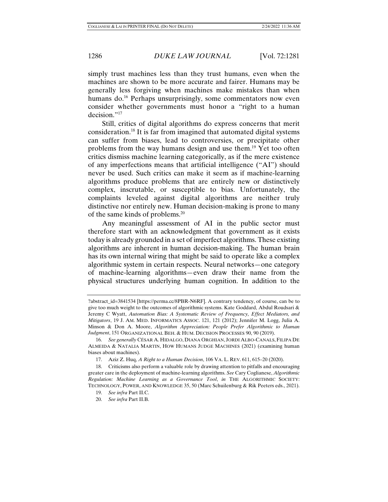simply trust machines less than they trust humans, even when the machines are shown to be more accurate and fairer. Humans may be generally less forgiving when machines make mistakes than when humans do.<sup>16</sup> Perhaps unsurprisingly, some commentators now even consider whether governments must honor a "right to a human decision."<sup>17</sup>

Still, critics of digital algorithms do express concerns that merit consideration.18 It is far from imagined that automated digital systems can suffer from biases, lead to controversies, or precipitate other problems from the way humans design and use them.19 Yet too often critics dismiss machine learning categorically, as if the mere existence of any imperfections means that artificial intelligence ("AI") should never be used. Such critics can make it seem as if machine-learning algorithms produce problems that are entirely new or distinctively complex, inscrutable, or susceptible to bias. Unfortunately, the complaints leveled against digital algorithms are neither truly distinctive nor entirely new. Human decision-making is prone to many of the same kinds of problems.20

Any meaningful assessment of AI in the public sector must therefore start with an acknowledgment that government as it exists today is already grounded in a set of imperfect algorithms. These existing algorithms are inherent in human decision-making. The human brain has its own internal wiring that might be said to operate like a complex algorithmic system in certain respects. Neural networks—one category of machine-learning algorithms—even draw their name from the physical structures underlying human cognition. In addition to the

<sup>?</sup>abstract\_id=3841534 [https://perma.cc/8PBR-N6RF]. A contrary tendency, of course, can be to give too much weight to the outcomes of algorithmic systems. Kate Goddard, Abdul Roudsari & Jeremy C Wyatt, *Automation Bias: A Systematic Review of Frequency, Effect Mediators, and Mitigators*, 19 J. AM. MED. INFORMATICS ASSOC. 121, 121 (2012); Jennifer M. Logg, Julia A. Minson & Don A. Moore, *Algorithm Appreciation: People Prefer Algorithmic to Human Judgment*, 151 ORGANIZATIONAL BEH. & HUM. DECISION PROCESSES 90, 90 (2019).

 <sup>16.</sup> *See generally* CÉSAR A. HIDALGO, DIANA ORGHIAN, JORDI ALBO-CANALS, FILIPA DE ALMEIDA & NATALIA MARTIN, HOW HUMANS JUDGE MACHINES (2021) (examining human biases about machines).

 <sup>17.</sup> Aziz Z. Huq, *A Right to a Human Decision*, 106 VA. L. REV. 611, 615–20 (2020).

 <sup>18.</sup> Criticisms also perform a valuable role by drawing attention to pitfalls and encouraging greater care in the deployment of machine-learning algorithms. *See* Cary Coglianese, *Algorithmic Regulation: Machine Learning as a Governance Tool*, *in* THE ALGORITHMIC SOCIETY: TECHNOLOGY, POWER, AND KNOWLEDGE 35, 50 (Marc Schuilenburg & Rik Peeters eds., 2021).

 <sup>19.</sup> *See infra* Part II.C.

 <sup>20.</sup> *See infra* Part II.B.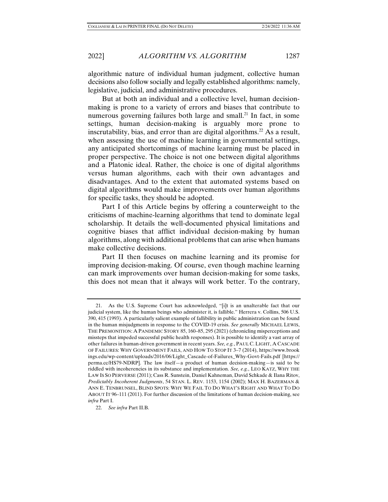algorithmic nature of individual human judgment, collective human decisions also follow socially and legally established algorithms: namely, legislative, judicial, and administrative procedures.

But at both an individual and a collective level, human decisionmaking is prone to a variety of errors and biases that contribute to numerous governing failures both large and small.<sup>21</sup> In fact, in some settings, human decision-making is arguably more prone to inscrutability, bias, and error than are digital algorithms.<sup>22</sup> As a result, when assessing the use of machine learning in governmental settings, any anticipated shortcomings of machine learning must be placed in proper perspective. The choice is not one between digital algorithms and a Platonic ideal. Rather, the choice is one of digital algorithms versus human algorithms, each with their own advantages and disadvantages. And to the extent that automated systems based on digital algorithms would make improvements over human algorithms for specific tasks, they should be adopted.

Part I of this Article begins by offering a counterweight to the criticisms of machine-learning algorithms that tend to dominate legal scholarship. It details the well-documented physical limitations and cognitive biases that afflict individual decision-making by human algorithms, along with additional problems that can arise when humans make collective decisions.

Part II then focuses on machine learning and its promise for improving decision-making. Of course, even though machine learning can mark improvements over human decision-making for some tasks, this does not mean that it always will work better. To the contrary,

 <sup>21.</sup> As the U.S. Supreme Court has acknowledged, "[i]t is an unalterable fact that our judicial system, like the human beings who administer it, is fallible." Herrera v. Collins, 506 U.S. 390, 415 (1993). A particularly salient example of fallibility in public administration can be found in the human misjudgments in response to the COVID-19 crisis. *See generally* MICHAEL LEWIS, THE PREMONITION: A PANDEMIC STORY 85, 160–85, 295 (2021) (chronicling misperceptions and missteps that impeded successful public health responses). It is possible to identify a vast array of other failures in human-driven government in recent years. *See, e.g.*, PAUL C.LIGHT, A CASCADE OF FAILURES: WHY GOVERNMENT FAILS, AND HOW TO STOP IT 3–7 (2014), https://www.brook ings.edu/wp-content/uploads/2016/06/Light\_Cascade-of-Failures\_Why-Govt-Fails.pdf [https:// perma.cc/HS79-NDRP]. The law itself—a product of human decision-making—is said to be riddled with incoherencies in its substance and implementation. *See, e.g.*, LEO KATZ, WHY THE LAW IS SO PERVERSE (2011); Cass R. Sunstein, Daniel Kahneman, David Schkade & Ilana Ritov, *Predictably Incoherent Judgments*, 54 STAN. L. REV. 1153, 1154 (2002); MAX H. BAZERMAN & ANN E. TENBRUNSEL, BLIND SPOTS: WHY WE FAIL TO DO WHAT'S RIGHT AND WHAT TO DO ABOUT IT 96–111 (2011). For further discussion of the limitations of human decision-making, see *infra* Part I.

 <sup>22.</sup> *See infra* Part II.B.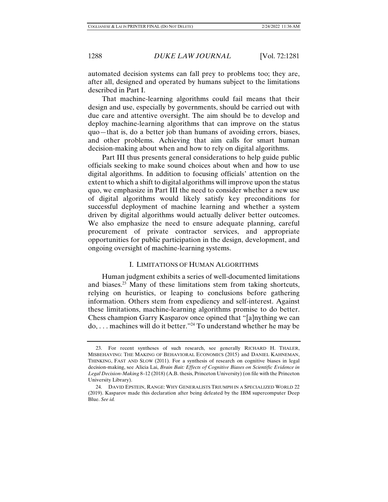automated decision systems can fall prey to problems too; they are, after all, designed and operated by humans subject to the limitations described in Part I.

That machine-learning algorithms could fail means that their design and use, especially by governments, should be carried out with due care and attentive oversight. The aim should be to develop and deploy machine-learning algorithms that can improve on the status quo—that is, do a better job than humans of avoiding errors, biases, and other problems. Achieving that aim calls for smart human decision-making about when and how to rely on digital algorithms.

Part III thus presents general considerations to help guide public officials seeking to make sound choices about when and how to use digital algorithms. In addition to focusing officials' attention on the extent to which a shift to digital algorithms will improve upon the status quo, we emphasize in Part III the need to consider whether a new use of digital algorithms would likely satisfy key preconditions for successful deployment of machine learning and whether a system driven by digital algorithms would actually deliver better outcomes. We also emphasize the need to ensure adequate planning, careful procurement of private contractor services, and appropriate opportunities for public participation in the design, development, and ongoing oversight of machine-learning systems.

# I. LIMITATIONS OF HUMAN ALGORITHMS

Human judgment exhibits a series of well-documented limitations and biases.23 Many of these limitations stem from taking shortcuts, relying on heuristics, or leaping to conclusions before gathering information. Others stem from expediency and self-interest. Against these limitations, machine-learning algorithms promise to do better. Chess champion Garry Kasparov once opined that "[a]nything we can do, . . . machines will do it better."24 To understand whether he may be

 <sup>23.</sup> For recent syntheses of such research, see generally RICHARD H. THALER, MISBEHAVING: THE MAKING OF BEHAVIORAL ECONOMICS (2015) and DANIEL KAHNEMAN, THINKING, FAST AND SLOW (2011). For a synthesis of research on cognitive biases in legal decision-making, see Alicia Lai, *Brain Bait: Effects of Cognitive Biases on Scientific Evidence in Legal Decision-Making* 8–12 (2018) (A.B. thesis, Princeton University) (on file with the Princeton University Library).

 <sup>24.</sup> DAVID EPSTEIN, RANGE: WHY GENERALISTS TRIUMPH IN A SPECIALIZED WORLD 22 (2019). Kasparov made this declaration after being defeated by the IBM supercomputer Deep Blue. *See id.*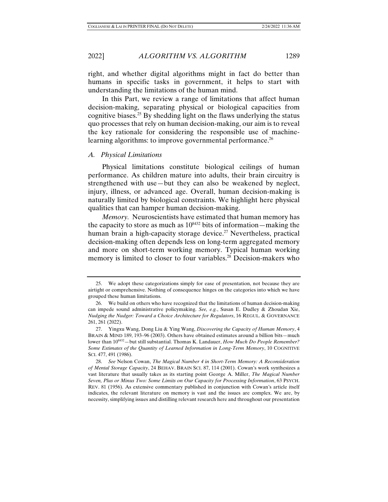right, and whether digital algorithms might in fact do better than humans in specific tasks in government, it helps to start with understanding the limitations of the human mind.

In this Part, we review a range of limitations that affect human decision-making, separating physical or biological capacities from cognitive biases.<sup>25</sup> By shedding light on the flaws underlying the status quo processes that rely on human decision-making, our aim is to reveal the key rationale for considering the responsible use of machinelearning algorithms: to improve governmental performance.<sup>26</sup>

#### *A. Physical Limitations*

Physical limitations constitute biological ceilings of human performance. As children mature into adults, their brain circuitry is strengthened with use—but they can also be weakened by neglect, injury, illness, or advanced age. Overall, human decision-making is naturally limited by biological constraints. We highlight here physical qualities that can hamper human decision-making.

*Memory.* Neuroscientists have estimated that human memory has the capacity to store as much as  $10^{8432}$  bits of information—making the human brain a high-capacity storage device.<sup>27</sup> Nevertheless, practical decision-making often depends less on long-term aggregated memory and more on short-term working memory. Typical human working memory is limited to closer to four variables.<sup>28</sup> Decision-makers who

 <sup>25.</sup> We adopt these categorizations simply for ease of presentation, not because they are airtight or comprehensive. Nothing of consequence hinges on the categories into which we have grouped these human limitations.

 <sup>26.</sup> We build on others who have recognized that the limitations of human decision-making can impede sound administrative policymaking. *See, e.g.*, Susan E. Dudley & Zhoudan Xie, *Nudging the Nudger: Toward a Choice Architecture for Regulators*, 16 REGUL. & GOVERNANCE 261, 261 (2022).

 <sup>27.</sup> Yingxu Wang, Dong Liu & Ying Wang, *Discovering the Capacity of Human Memory*, 4 BRAIN & MIND 189, 193–96 (2003). Others have obtained estimates around a billion bits—much lower than 10<sup>8432</sup>—but still substantial. Thomas K. Landauer, *How Much Do People Remember? Some Estimates of the Quantity of Learned Information in Long-Term Memory*, 10 COGNITIVE SCI. 477, 491 (1986).

 <sup>28.</sup> *See* Nelson Cowan, *The Magical Number 4 in Short-Term Memory: A Reconsideration of Mental Storage Capacity*, 24 BEHAV. BRAIN SCI. 87, 114 (2001). Cowan's work synthesizes a vast literature that usually takes as its starting point George A. Miller, *The Magical Number Seven, Plus or Minus Two: Some Limits on Our Capacity for Processing Information*, 63 PSYCH. REV. 81 (1956). As extensive commentary published in conjunction with Cowan's article itself indicates, the relevant literature on memory is vast and the issues are complex. We are, by necessity, simplifying issues and distilling relevant research here and throughout our presentation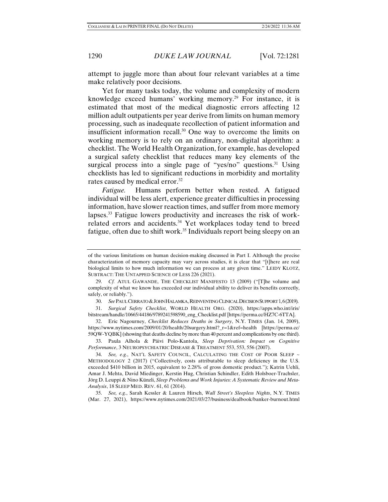attempt to juggle more than about four relevant variables at a time make relatively poor decisions.

Yet for many tasks today, the volume and complexity of modern knowledge exceed humans' working memory.<sup>29</sup> For instance, it is estimated that most of the medical diagnostic errors affecting 12 million adult outpatients per year derive from limits on human memory processing, such as inadequate recollection of patient information and insufficient information recall.30 One way to overcome the limits on working memory is to rely on an ordinary, non-digital algorithm: a checklist. The World Health Organization, for example, has developed a surgical safety checklist that reduces many key elements of the surgical process into a single page of "yes/no" questions.<sup>31</sup> Using checklists has led to significant reductions in morbidity and mortality rates caused by medical error.<sup>32</sup>

*Fatigue.* Humans perform better when rested. A fatigued individual will be less alert, experience greater difficulties in processing information, have slower reaction times, and suffer from more memory lapses.33 Fatigue lowers productivity and increases the risk of workrelated errors and accidents.<sup>34</sup> Yet workplaces today tend to breed fatigue, often due to shift work.<sup>35</sup> Individuals report being sleepy on an

30. *See* PAUL CERRATO &JOHN HALAMKA, REINVENTING CLINICAL DECISION SUPPORT 1,6(2019).

 31. *Surgical Safety Checklist*, WORLD HEALTH ORG. (2020), https://apps.who.int/iris/ bitstream/handle/10665/44186/9789241598590\_eng\_Checklist.pdf [https://perma.cc/HZ7C-6TTA].

 32. Eric Nagourney, *Checklist Reduces Deaths in Surgery*, N.Y. TIMES (Jan. 14, 2009), https://www.nytimes.com/2009/01/20/health/20surgery.html?\_r=1&ref=health [https://perma.cc/ 59QW-YQBK] (showing that deaths decline by more than 40 percent and complications by one third).

 33. Paula Alhola & Päivi Polo-Kantola, *Sleep Deprivation: Impact on Cognitive Performance*, 3 NEUROPSYCHIATRIC DISEASE & TREATMENT 553, 553, 556 (2007).

 34. *See, e.g.*, NAT'L SAFETY COUNCIL, CALCULATING THE COST OF POOR SLEEP ~ METHODOLOGY 2 (2017) ("Collectively, costs attributable to sleep deficiency in the U.S. exceeded \$410 billion in 2015, equivalent to 2.28% of gross domestic product."); Katrin Uehli, Amar J. Mehta, David Miedinger, Kerstin Hug, Christian Schindler, Edith Holsboer-Trachsler, Jörg D. Leuppi & Nino Künzli, *Sleep Problems and Work Injuries: A Systematic Review and Meta-Analysis*, 18 SLEEP MED. REV. 61, 61 (2014).

 35. *See, e.g.*, Sarah Kessler & Lauren Hirsch, *Wall Street's Sleepless Nights*, N.Y. TIMES (Mar. 27, 2021), https://www.nytimes.com/2021/03/27/business/dealbook/banker-burnout.html

of the various limitations on human decision-making discussed in Part I. Although the precise characterization of memory capacity may vary across studies, it is clear that "[t]here are real biological limits to how much information we can process at any given time." LEIDY KLOTZ, SUBTRACT: THE UNTAPPED SCIENCE OF LESS 226 (2021).

 <sup>29.</sup> *Cf.* ATUL GAWANDE, THE CHECKLIST MANIFESTO 13 (2009) ("[T]he volume and complexity of what we know has exceeded our individual ability to deliver its benefits correctly, safely, or reliably.").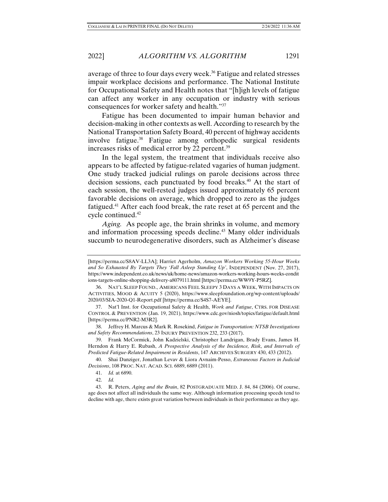average of three to four days every week.36 Fatigue and related stresses impair workplace decisions and performance. The National Institute for Occupational Safety and Health notes that "[h]igh levels of fatigue can affect any worker in any occupation or industry with serious consequences for worker safety and health."37

Fatigue has been documented to impair human behavior and decision-making in other contexts as well. According to research by the National Transportation Safety Board, 40 percent of highway accidents involve fatigue.<sup>38</sup> Fatigue among orthopedic surgical residents increases risks of medical error by 22 percent.<sup>39</sup>

In the legal system, the treatment that individuals receive also appears to be affected by fatigue-related vagaries of human judgment. One study tracked judicial rulings on parole decisions across three decision sessions, each punctuated by food breaks.<sup>40</sup> At the start of each session, the well-rested judges issued approximately 65 percent favorable decisions on average, which dropped to zero as the judges fatigued.41 After each food break, the rate reset at 65 percent and the cycle continued.42

*Aging.* As people age, the brain shrinks in volume, and memory and information processing speeds decline.<sup>43</sup> Many older individuals succumb to neurodegenerative disorders, such as Alzheimer's disease

<sup>[</sup>https://perma.cc/S8AV-LL3A]; Harriet Agerholm, *Amazon Workers Working 55-Hour Weeks and So Exhausted By Targets They 'Fall Asleep Standing Up'*, INDEPENDENT (Nov. 27, 2017), https://www.independent.co.uk/news/uk/home-news/amazon-workers-working-hours-weeks-condit ions-targets-online-shopping-delivery-a8079111.html [https://perma.cc/WW9Y-P5RZ].

 <sup>36.</sup> NAT'L SLEEP FOUND., AMERICANS FEEL SLEEPY 3 DAYS A WEEK, WITH IMPACTS ON ACTIVITIES, MOOD & ACUITY 5 (2020), https://www.sleepfoundation.org/wp-content/uploads/ 2020/03/SIA-2020-Q1-Report.pdf [https://perma.cc/S4S7-AEYE].

 <sup>37.</sup> Nat'l Inst. for Occupational Safety & Health, *Work and Fatigue*, CTRS. FOR DISEASE CONTROL & PREVENTION (Jan. 19, 2021), https://www.cdc.gov/niosh/topics/fatigue/default.html [https://perma.cc/PNR2-M3R2].

 <sup>38.</sup> Jeffrey H. Marcus & Mark R. Rosekind, *Fatigue in Transportation: NTSB Investigations and Safety Recommendations*, 23 INJURY PREVENTION 232, 233 (2017).

 <sup>39.</sup> Frank McCormick, John Kadzielski, Christopher Landrigan, Brady Evans, James H. Herndon & Harry E. Rubash, *A Prospective Analysis of the Incidence, Risk, and Intervals of Predicted Fatigue-Related Impairment in Residents*, 147 ARCHIVES SURGERY 430, 433 (2012).

 <sup>40.</sup> Shai Danziger, Jonathan Levav & Liora Avnaim-Pesso, *Extraneous Factors in Judicial Decisions*, 108 PROC. NAT. ACAD. SCI. 6889, 6889 (2011).

 <sup>41.</sup> *Id.* at 6890.

 <sup>42.</sup> *Id.*

 <sup>43.</sup> R. Peters, *Aging and the Brain*, 82 POSTGRADUATE MED. J. 84, 84 (2006). Of course, age does not affect all individuals the same way. Although information processing speeds tend to decline with age, there exists great variation between individuals in their performance as they age.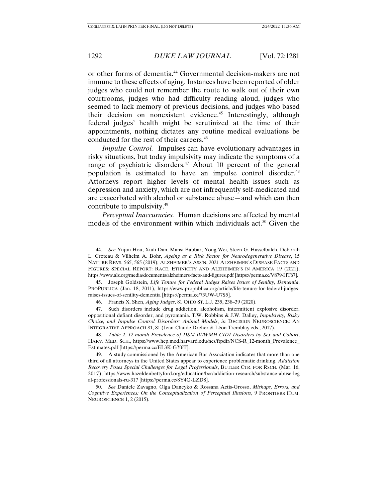or other forms of dementia.44 Governmental decision-makers are not immune to these effects of aging. Instances have been reported of older judges who could not remember the route to walk out of their own courtrooms, judges who had difficulty reading aloud, judges who seemed to lack memory of previous decisions, and judges who based their decision on nonexistent evidence.<sup>45</sup> Interestingly, although federal judges' health might be scrutinized at the time of their appointments, nothing dictates any routine medical evaluations be conducted for the rest of their careers.<sup>46</sup>

*Impulse Control.* Impulses can have evolutionary advantages in risky situations, but today impulsivity may indicate the symptoms of a range of psychiatric disorders.<sup>47</sup> About 10 percent of the general population is estimated to have an impulse control disorder.<sup>48</sup> Attorneys report higher levels of mental health issues such as depression and anxiety, which are not infrequently self-medicated and are exacerbated with alcohol or substance abuse—and which can then contribute to impulsivity.49

*Perceptual Inaccuracies.* Human decisions are affected by mental models of the environment within which individuals act.<sup>50</sup> Given the

 <sup>44.</sup> *See* Yujun Hou, Xiuli Dan, Mansi Babbar, Yong Wei, Steen G. Hasselbalch, Deborah L. Croteau & Vilhelm A. Bohr, *Ageing as a Risk Factor for Neurodegenerative Disease*, 15 NATURE REVS. 565, 565 (2019); ALZHEIMER'S ASS'N, 2021 ALZHEIMER'S DISEASE FACTS AND FIGURES: SPECIAL REPORT: RACE, ETHNICITY AND ALZHEIMER'S IN AMERICA 19 (2021), https://www.alz.org/media/documents/alzheimers-facts-and-figures.pdf [https://perma.cc/V879-HT67].

 <sup>45.</sup> Joseph Goldstein, *Life Tenure for Federal Judges Raises Issues of Senility, Dementia*, PROPUBLICA (Jan. 18, 2011), https://www.propublica.org/article/life-tenure-for-federal-judgesraises-issues-of-senility-dementia [https://perma.cc/73UW-U7S5].

 <sup>46.</sup> Francis X. Shen, *Aging Judges*, 81 OHIO ST. L.J. 235, 238–39 (2020).

 <sup>47.</sup> Such disorders include drug addiction, alcoholism, intermittent explosive disorder, oppositional defiant disorder, and pyromania. T.W. Robbins & J.W. Dalley, *Impulsivity, Risky Choice, and Impulse Control Disorders: Animal Models*, *in* DECISION NEUROSCIENCE: AN INTEGRATIVE APPROACH 81, 81 (Jean-Claude Dreher & Léon Tremblay eds., 2017).

 <sup>48.</sup> *Table 2. 12-month Prevalence of DSM-IV/WMH-CIDI Disorders by Sex and Cohort*, HARV. MED. SCH., https://www.hcp.med.harvard.edu/ncs/ftpdir/NCS-R\_12-month\_Prevalence\_ Estimates.pdf [https://perma.cc/EL3K-GY6T].

 <sup>49.</sup> A study commissioned by the American Bar Association indicates that more than one third of all attorneys in the United States appear to experience problematic drinking. *Addiction Recovery Poses Special Challenges for Legal Professionals*, BUTLER CTR. FOR RSCH. (Mar. 16, 2017), https://www.hazeldenbettyford.org/education/bcr/addiction-research/substance-abuse-leg al-professionals-ru-317 [https://perma.cc/8Y4Q-LZD8].

 <sup>50.</sup> *See* Daniele Zavagno, Olga Daneyko & Rossana Actis-Grosso, *Mishaps, Errors, and Cognitive Experiences: On the Conceptualization of Perceptual Illusions*, 9 FRONTIERS HUM. NEUROSCIENCE 1, 2 (2015).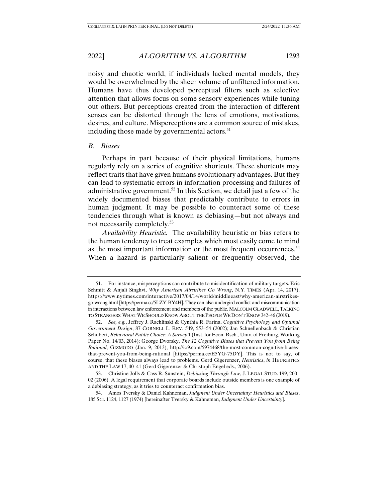2022] *ALGORITHM VS. ALGORITHM* 1293

noisy and chaotic world, if individuals lacked mental models, they would be overwhelmed by the sheer volume of unfiltered information. Humans have thus developed perceptual filters such as selective attention that allows focus on some sensory experiences while tuning out others. But perceptions created from the interaction of different senses can be distorted through the lens of emotions, motivations, desires, and culture. Misperceptions are a common source of mistakes, including those made by governmental actors. $51$ 

#### *B. Biases*

Perhaps in part because of their physical limitations, humans regularly rely on a series of cognitive shortcuts. These shortcuts may reflect traits that have given humans evolutionary advantages. But they can lead to systematic errors in information processing and failures of administrative government.<sup>52</sup> In this Section, we detail just a few of the widely documented biases that predictably contribute to errors in human judgment. It may be possible to counteract some of these tendencies through what is known as debiasing—but not always and not necessarily completely.53

*Availability Heuristic.* The availability heuristic or bias refers to the human tendency to treat examples which most easily come to mind as the most important information or the most frequent occurrences.<sup>54</sup> When a hazard is particularly salient or frequently observed, the

 <sup>51.</sup> For instance, misperceptions can contribute to misidentification of military targets. Eric Schmitt & Anjali Singhvi, *Why American Airstrikes Go Wrong*, N.Y. TIMES (Apr. 14, 2017), https://www.nytimes.com/interactive/2017/04/14/world/middleeast/why-american-airstrikesgo-wrong.html [https://perma.cc/5LZY-BY4H]. They can also undergird conflict and miscommunication in interactions between law enforcement and members of the public. MALCOLM GLADWELL,TALKING TO STRANGERS:WHAT WE SHOULD KNOW ABOUT THE PEOPLE WE DON'T KNOW 342–46 (2019).

 <sup>52.</sup> *See, e.g.*, Jeffrey J. Rachlinski & Cynthia R. Farina, *Cognitive Psychology and Optimal Government Design*, 87 CORNELL L. REV. 549, 553–54 (2002); Jan Schnellenbach & Christian Schubert, *Behavioral Public Choice: A Survey* 1 (Inst. for Econ. Rsch., Univ. of Freiburg, Working Paper No. 14/03, 2014); George Dvorsky, *The 12 Cognitive Biases that Prevent You from Being Rational*, GIZMODO (Jan. 9, 2013), http://io9.com/5974468/the-most-common-cognitive-biasesthat-prevent-you-from-being-rational [https://perma.cc/E5YG-75DY]. This is not to say, of course, that these biases always lead to problems. Gerd Gigerenzer, *Heuristics*, *in* HEURISTICS AND THE LAW 17, 40–41 (Gerd Gigerenzer & Christoph Engel eds., 2006).

 <sup>53.</sup> Christine Jolls & Cass R. Sunstein, *Debiasing Through Law*, J. LEGAL STUD. 199, 200– 02 (2006). A legal requirement that corporate boards include outside members is one example of a debiasing strategy, as it tries to counteract confirmation bias.

 <sup>54.</sup> Amos Tversky & Daniel Kahneman, *Judgment Under Uncertainty: Heuristics and Biases*, 185 SCI. 1124, 1127 (1974) [hereinafter Tversky & Kahneman, *Judgment Under Uncertainty*].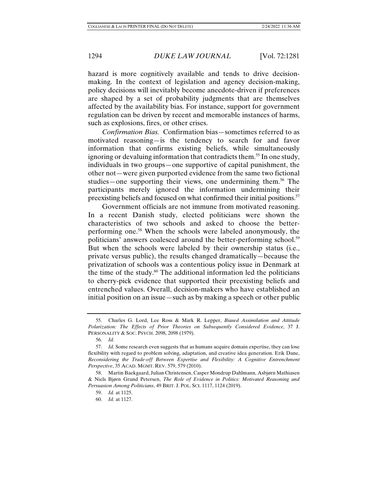hazard is more cognitively available and tends to drive decisionmaking. In the context of legislation and agency decision-making, policy decisions will inevitably become anecdote-driven if preferences are shaped by a set of probability judgments that are themselves affected by the availability bias. For instance, support for government regulation can be driven by recent and memorable instances of harms, such as explosions, fires, or other crises.

*Confirmation Bias.* Confirmation bias—sometimes referred to as motivated reasoning—is the tendency to search for and favor information that confirms existing beliefs, while simultaneously ignoring or devaluing information that contradicts them.<sup>55</sup> In one study, individuals in two groups—one supportive of capital punishment, the other not—were given purported evidence from the same two fictional studies—one supporting their views, one undermining them.<sup>56</sup> The participants merely ignored the information undermining their preexisting beliefs and focused on what confirmed their initial positions.<sup>57</sup>

Government officials are not immune from motivated reasoning. In a recent Danish study, elected politicians were shown the characteristics of two schools and asked to choose the betterperforming one.58 When the schools were labeled anonymously, the politicians' answers coalesced around the better-performing school.<sup>59</sup> But when the schools were labeled by their ownership status (i.e., private versus public), the results changed dramatically—because the privatization of schools was a contentious policy issue in Denmark at the time of the study.<sup>60</sup> The additional information led the politicians to cherry-pick evidence that supported their preexisting beliefs and entrenched values. Overall, decision-makers who have established an initial position on an issue—such as by making a speech or other public

 <sup>55.</sup> Charles G. Lord, Lee Ross & Mark R. Lepper, *Biased Assimilation and Attitude Polarization: The Effects of Prior Theories on Subsequently Considered Evidence*, 37 J. PERSONALITY & SOC. PSYCH. 2098, 2098 (1979).

 <sup>56.</sup> *Id.*

 <sup>57.</sup> *Id.* Some research even suggests that as humans acquire domain expertise, they can lose flexibility with regard to problem solving, adaptation, and creative idea generation. Erik Dane, *Reconsidering the Trade-off Between Expertise and Flexibility: A Cognitive Entrenchment Perspective*, 35 ACAD. MGMT. REV. 579, 579 (2010).

 <sup>58.</sup> Martin Baekgaard, Julian Christensen, Casper Mondrup Dahlmann, Asbjørn Mathiasen & Niels Bjørn Grund Petersen, *The Role of Evidence in Politics: Motivated Reasoning and Persuasion Among Politicians*, 49 BRIT. J. POL. SCI. 1117, 1124 (2019).

 <sup>59.</sup> *Id.* at 1125.

 <sup>60.</sup> *Id.* at 1127.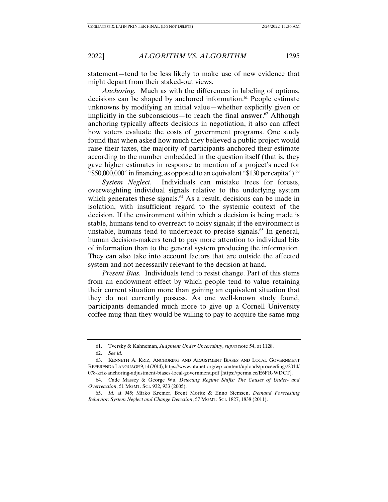statement—tend to be less likely to make use of new evidence that might depart from their staked-out views.

*Anchoring.* Much as with the differences in labeling of options, decisions can be shaped by anchored information.<sup>61</sup> People estimate unknowns by modifying an initial value—whether explicitly given or implicitly in the subconscious—to reach the final answer.<sup>62</sup> Although anchoring typically affects decisions in negotiation, it also can affect how voters evaluate the costs of government programs. One study found that when asked how much they believed a public project would raise their taxes, the majority of participants anchored their estimate according to the number embedded in the question itself (that is, they gave higher estimates in response to mention of a project's need for "\$50,000,000" in financing, as opposed to an equivalent "\$130 per capita"). <sup>63</sup>

*System Neglect.* Individuals can mistake trees for forests, overweighting individual signals relative to the underlying system which generates these signals. $64$  As a result, decisions can be made in isolation, with insufficient regard to the systemic context of the decision. If the environment within which a decision is being made is stable, humans tend to overreact to noisy signals; if the environment is unstable, humans tend to underreact to precise signals.<sup>65</sup> In general, human decision-makers tend to pay more attention to individual bits of information than to the general system producing the information. They can also take into account factors that are outside the affected system and not necessarily relevant to the decision at hand.

*Present Bias.* Individuals tend to resist change. Part of this stems from an endowment effect by which people tend to value retaining their current situation more than gaining an equivalent situation that they do not currently possess. As one well-known study found, participants demanded much more to give up a Cornell University coffee mug than they would be willing to pay to acquire the same mug

 <sup>61.</sup> Tversky & Kahneman, *Judgment Under Uncertainty*, *supra* note 54, at 1128.

 <sup>62.</sup> *See id.*

 <sup>63.</sup> KENNETH A. KRIZ, ANCHORING AND ADJUSTMENT BIASES AND LOCAL GOVERNMENT REFERENDA LANGUAGE 9, 14 (2014), https://www.ntanet.org/wp-content/uploads/proceedings/2014/ 078-kriz-anchoring-adjustment-biases-local-government.pdf [https://perma.cc/E6FR-WDCT].

 <sup>64.</sup> Cade Massey & George Wu, *Detecting Regime Shifts: The Causes of Under- and Overreaction*, 51 MGMT. SCI. 932, 933 (2005).

 <sup>65.</sup> *Id.* at 945; Mirko Kremer, Brent Moritz & Enno Siemsen, *Demand Forecasting Behavior: System Neglect and Change Detection*, 57 MGMT. SCI. 1827, 1838 (2011).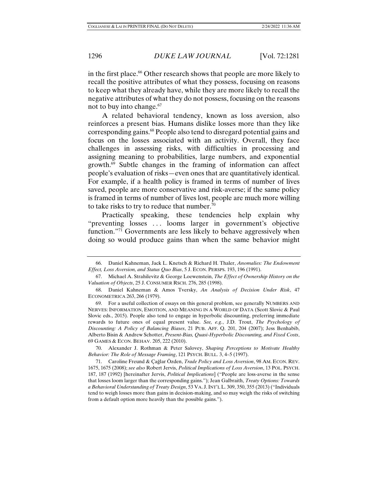in the first place.<sup>66</sup> Other research shows that people are more likely to recall the positive attributes of what they possess, focusing on reasons to keep what they already have, while they are more likely to recall the negative attributes of what they do not possess, focusing on the reasons not to buy into change.<sup>67</sup>

A related behavioral tendency, known as loss aversion, also reinforces a present bias. Humans dislike losses more than they like corresponding gains.<sup>68</sup> People also tend to disregard potential gains and focus on the losses associated with an activity. Overall, they face challenges in assessing risks, with difficulties in processing and assigning meaning to probabilities, large numbers, and exponential growth. $69$  Subtle changes in the framing of information can affect people's evaluation of risks—even ones that are quantitatively identical. For example, if a health policy is framed in terms of number of lives saved, people are more conservative and risk-averse; if the same policy is framed in terms of number of lives lost, people are much more willing to take risks to try to reduce that number.70

Practically speaking, these tendencies help explain why "preventing losses . . . looms larger in government's objective function."71 Governments are less likely to behave aggressively when doing so would produce gains than when the same behavior might

 70. Alexander J. Rothman & Peter Salovey, *Shaping Perceptions to Motivate Healthy Behavior: The Role of Message Framing*, 121 PSYCH. BULL. 3, 4–5 (1997).

 71. Caroline Freund & Çağlar Özden, *Trade Policy and Loss Aversion*, 98 AM. ECON. REV. 1675, 1675 (2008); *see also* Robert Jervis, *Political Implications of Loss Aversion*, 13 POL. PSYCH. 187, 187 (1992) [hereinafter Jervis, *Political Implications*] ("People are loss-averse in the sense that losses loom larger than the corresponding gains."); Jean Galbraith, *Treaty Options: Towards a Behavioral Understanding of Treaty Design*, 53 VA. J.INT'L L. 309, 350, 355 (2013) ("Individuals tend to weigh losses more than gains in decision-making, and so may weigh the risks of switching from a default option more heavily than the possible gains.").

 <sup>66.</sup> Daniel Kahneman, Jack L. Knetsch & Richard H. Thaler, *Anomalies: The Endowment Effect, Loss Aversion, and Status Quo Bias*, 5 J. ECON. PERSPS. 193, 196 (1991).

 <sup>67.</sup> Michael A. Strahilevitz & George Loewenstein, *The Effect of Ownership History on the Valuation of Objects*, 25 J. CONSUMER RSCH. 276, 285 (1998).

 <sup>68.</sup> Daniel Kahneman & Amos Tversky, *An Analysis of Decision Under Risk*, 47 ECONOMETRICA 263, 266 (1979).

 <sup>69.</sup> For a useful collection of essays on this general problem, see generally NUMBERS AND NERVES: INFORMATION, EMOTION, AND MEANING IN A WORLD OF DATA (Scott Slovic & Paul Slovic eds., 2015). People also tend to engage in hyperbolic discounting, preferring immediate rewards to future ones of equal present value. *See, e.g.*, J.D. Trout, *The Psychology of Discounting: A Policy of Balancing Biases*, 21 PUB. AFF. Q. 201, 204 (2007); Jess Benhabib, Alberto Bisin & Andrew Schotter, *Present-Bias, Quasi-Hyperbolic Discounting, and Fixed Costs*, 69 GAMES & ECON. BEHAV. 205, 222 (2010).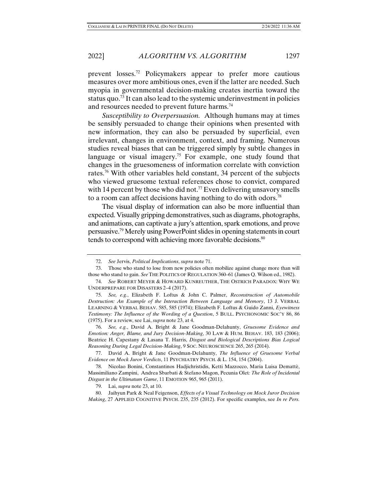prevent losses.72 Policymakers appear to prefer more cautious measures over more ambitious ones, even if the latter are needed. Such myopia in governmental decision-making creates inertia toward the status quo.<sup>73</sup> It can also lead to the systemic underinvestment in policies and resources needed to prevent future harms.<sup>74</sup>

*Susceptibility to Overpersuasion.* Although humans may at times be sensibly persuaded to change their opinions when presented with new information, they can also be persuaded by superficial, even irrelevant, changes in environment, context, and framing. Numerous studies reveal biases that can be triggered simply by subtle changes in language or visual imagery.<sup>75</sup> For example, one study found that changes in the gruesomeness of information correlate with conviction rates.<sup>76</sup> With other variables held constant, 34 percent of the subjects who viewed gruesome textual references chose to convict, compared with 14 percent by those who did not.<sup>77</sup> Even delivering unsavory smells to a room can affect decisions having nothing to do with odors.<sup>78</sup>

The visual display of information can also be more influential than expected. Visually gripping demonstratives, such as diagrams, photographs, and animations, can captivate a jury's attention, spark emotions, and prove persuasive.79 Merely using PowerPoint slides in opening statements in court tends to correspond with achieving more favorable decisions.<sup>80</sup>

 <sup>72.</sup> *See* Jervis, *Political Implications*, *supra* note 71.

 <sup>73.</sup> Those who stand to lose from new policies often mobilize against change more than will those who stand to gain. *See* THE POLITICS OF REGULATION 360–61 (James Q. Wilson ed., 1982).

 <sup>74.</sup> *See* ROBERT MEYER & HOWARD KUNREUTHER, THE OSTRICH PARADOX: WHY WE UNDERPREPARE FOR DISASTERS 2–4 (2017).

 <sup>75.</sup> *See, e.g.*, Elizabeth F. Loftus & John C. Palmer, *Reconstruction of Automobile Destruction: An Example of the Interaction Between Language and Memory*, 13 J. VERBAL LEARNING & VERBAL BEHAV. 585, 585 (1974); Elizabeth F. Loftus & Guido Zanni, *Eyewitness Testimony: The Influence of the Wording of a Question*, 5 BULL. PSYCHONOMIC SOC'Y 86, 86 (1975). For a review, see Lai, *supra* note 23, at 4.

 <sup>76.</sup> *See, e.g.*, David A. Bright & Jane Goodman-Delahunty, *Gruesome Evidence and Emotion: Anger, Blame, and Jury Decision-Making*, 30 LAW & HUM. BEHAV. 183, 183 (2006); Beatrice H. Capestany & Lasana T. Harris, *Disgust and Biological Descriptions Bias Logical Reasoning During Legal Decision-Making*, 9 SOC. NEUROSCIENCE 265, 265 (2014).

 <sup>77.</sup> David A. Bright & Jane Goodman-Delahunty, *The Influence of Gruesome Verbal Evidence on Mock Juror Verdicts*, 11 PSYCHIATRY PSYCH. & L. 154, 154 (2004).

 <sup>78.</sup> Nicolao Bonini, Constantinos Hadjichristidis, Ketti Mazzocco, Maria Luisa Demattè, Massimiliano Zampini, Andrea Sbarbati & Stefano Magon, Pecunia Olet*: The Role of Incidental Disgust in the Ultimatum Game*, 11 EMOTION 965, 965 (2011).

 <sup>79.</sup> Lai, *supra* note 23, at 10.

 <sup>80.</sup> Jaihyun Park & Neal Feigenson, *Effects of a Visual Technology on Mock Juror Decision Making*, 27 APPLIED COGNITIVE PSYCH. 235, 235 (2012). For specific examples, see *In re Pers.*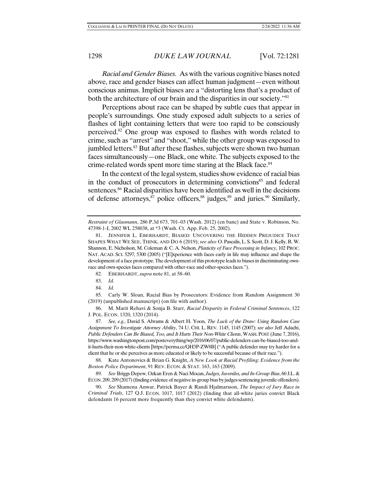*Racial and Gender Biases.* As with the various cognitive biases noted above, race and gender biases can affect human judgment—even without conscious animus. Implicit biases are a "distorting lens that's a product of both the architecture of our brain and the disparities in our society."<sup>81</sup>

Perceptions about race can be shaped by subtle cues that appear in people's surroundings. One study exposed adult subjects to a series of flashes of light containing letters that were too rapid to be consciously perceived.82 One group was exposed to flashes with words related to crime, such as "arrest" and "shoot," while the other group was exposed to jumbled letters.<sup>83</sup> But after these flashes, subjects were shown two human faces simultaneously—one Black, one white. The subjects exposed to the crime-related words spent more time staring at the Black face.<sup>84</sup>

In the context of the legal system, studies show evidence of racial bias in the conduct of prosecutors in determining convictions<sup>85</sup> and federal sentences.<sup>86</sup> Racial disparities have been identified as well in the decisions of defense attorneys,<sup>87</sup> police officers,<sup>88</sup> judges,<sup>89</sup> and juries.<sup>90</sup> Similarly,

82. EBERHARDT, *supra* note 81, at 58–60.

83. *Id.*

84. *Id.*

 85. Carly W. Sloan, Racial Bias by Prosecutors: Evidence from Random Assignment 30 (2019) (unpublished manuscript) (on file with author).

 86. M. Marit Rehavi & Sonja B. Starr, *Racial Disparity in Federal Criminal Sentences*, 122 J. POL. ECON. 1320, 1320 (2014).

 87. *See, e.g.*, David S. Abrams & Albert H. Yoon, *The Luck of the Draw: Using Random Case Assignment To Investigate Attorney Ability*, 74 U. CHI. L. REV. 1145, 1145 (2007); *see also* Jeff Adachi, *Public Defenders Can Be Biased, Too, and It Hurts Their Non-White Clients*, WASH.POST (June 7, 2016), https://www.washingtonpost.com/posteverything/wp/2016/06/07/public-defenders-can-be-biased-too-andit-hurts-their-non-white-clients [https://perma.cc/QH3P-ZW8B] ("A public defender may try harder for a client that he or she perceives as more educated or likely to be successful because of their race.").

 88. Kate Antonovics & Brian G. Knight, *A New Look at Racial Profiling: Evidence from the Boston Police Department*, 91 REV. ECON. & STAT. 163, 163 (2009).

 89. *See* Briggs Depew, Ozkan Eren & Naci Mocan, *Judges, Juveniles, and In-Group Bias*, 60 J.L.& ECON. 209, 209 (2017) (finding evidence of negative in-group bias by judges sentencing juvenile offenders).

 90. *See* Shamena Anwar, Patrick Bayer & Randi Hjalmarsson, *The Impact of Jury Race in Criminal Trials*, 127 Q.J. ECON. 1017, 1017 (2012) (finding that all-white juries convict Black defendants 16 percent more frequently than they convict white defendants).

*Restraint of Glasmann*, 286 P.3d 673, 701–03 (Wash. 2012) (en banc) and State v. Robinson, No. 47398-1-I, 2002 WL 258038, at \*3 (Wash. Ct. App. Feb. 25, 2002).

 <sup>81.</sup> JENNIFER L. EBERHARDT, BIASED: UNCOVERING THE HIDDEN PREJUDICE THAT SHAPES WHAT WE SEE, THINK, AND DO 6 (2019); *see also* O. Pascalis, L. S. Scott, D. J. Kelly, R. W. Shannon, E. Nicholson, M. Coleman & C. A. Nelson, *Plasticity of Face Processing in Infancy*, 102 PROC. NAT. ACAD. SCI. 5297, 5300 (2005) ("[E]xperience with faces early in life may influence and shape the development of a face prototype. The development of this prototype leads to biases in discriminating ownrace and own-species faces compared with other-race and other-species faces.").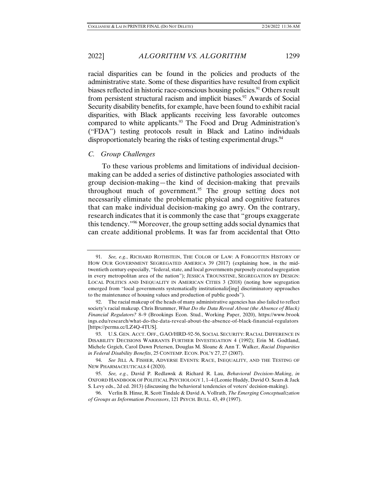2022] *ALGORITHM VS. ALGORITHM* 1299

racial disparities can be found in the policies and products of the administrative state. Some of these disparities have resulted from explicit biases reflected in historic race-conscious housing policies.<sup>91</sup> Others result from persistent structural racism and implicit biases.<sup>92</sup> Awards of Social Security disability benefits, for example, have been found to exhibit racial

disparities, with Black applicants receiving less favorable outcomes compared to white applicants.<sup>93</sup> The Food and Drug Administration's ("FDA") testing protocols result in Black and Latino individuals disproportionately bearing the risks of testing experimental drugs.<sup>94</sup>

#### *C. Group Challenges*

To these various problems and limitations of individual decisionmaking can be added a series of distinctive pathologies associated with group decision-making—the kind of decision-making that prevails throughout much of government.95 The group setting does not necessarily eliminate the problematic physical and cognitive features that can make individual decision-making go awry. On the contrary, research indicates that it is commonly the case that "groups exaggerate this tendency."96 Moreover, the group setting adds social dynamics that can create additional problems. It was far from accidental that Otto

 <sup>91.</sup> *See, e.g.*, RICHARD ROTHSTEIN, THE COLOR OF LAW: A FORGOTTEN HISTORY OF HOW OUR GOVERNMENT SEGREGATED AMERICA 39 (2017) (explaining how, in the midtwentieth century especially, "federal, state, and local governments purposely created segregation in every metropolitan area of the nation"); JESSICA TROUNSTINE, SEGREGATION BY DESIGN: LOCAL POLITICS AND INEQUALITY IN AMERICAN CITIES 3 (2018) (noting how segregation emerged from "local governments systematically institutionaliz[ing] discriminatory approaches to the maintenance of housing values and production of public goods").

 <sup>92.</sup> The racial makeup of the heads of many administrative agencies has also failed to reflect society's racial makeup. Chris Brummer, *What Do the Data Reveal About (the Absence of Black) Financial Regulators?* 8–9 (Brookings Econ. Stud., Working Paper, 2020), https://www.brook ings.edu/research/what-do-the-data-reveal-about-the-absence-of-black-financial-regulators [https://perma.cc/LZ4Q-4TUS].

 <sup>93.</sup> U.S. GEN. ACCT. OFF., GAO/HRD-92-56, SOCIAL SECURITY: RACIAL DIFFERENCE IN DISABILITY DECISIONS WARRANTS FURTHER INVESTIGATION 4 (1992); Erin M. Godtland, Michele Grgich, Carol Dawn Petersen, Douglas M. Sloane & Ann T. Walker, *Racial Disparities in Federal Disability Benefits*, 25 CONTEMP. ECON. POL'Y 27, 27 (2007).

 <sup>94.</sup> *See* JILL A. FISHER, ADVERSE EVENTS: RACE, INEQUALITY, AND THE TESTING OF NEW PHARMACEUTICALS 4 (2020).

 <sup>95.</sup> *See, e.g.*, David P. Redlawsk & Richard R. Lau, *Behavioral Decision-Making*, *in*  OXFORD HANDBOOK OF POLITICAL PSYCHOLOGY 1, 1–4 (Leonie Huddy, David O. Sears & Jack S. Levy eds., 2d ed. 2013) (discussing the behavioral tendencies of voters' decision-making).

 <sup>96.</sup> Verlin B. Hinsz, R. Scott Tindale & David A. Vollrath, *The Emerging Conceptualization of Groups as Information Processors*, 121 PSYCH. BULL. 43, 49 (1997).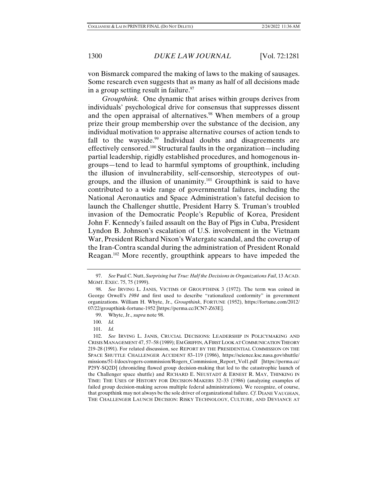von Bismarck compared the making of laws to the making of sausages. Some research even suggests that as many as half of all decisions made in a group setting result in failure.<sup>97</sup>

*Groupthink.* One dynamic that arises within groups derives from individuals' psychological drive for consensus that suppresses dissent and the open appraisal of alternatives.<sup>98</sup> When members of a group prize their group membership over the substance of the decision, any individual motivation to appraise alternative courses of action tends to fall to the wayside.<sup>99</sup> Individual doubts and disagreements are effectively censored.100 Structural faults in the organization—including partial leadership, rigidly established procedures, and homogenous ingroups—tend to lead to harmful symptoms of groupthink, including the illusion of invulnerability, self-censorship, stereotypes of outgroups, and the illusion of unanimity.101 Groupthink is said to have contributed to a wide range of governmental failures, including the National Aeronautics and Space Administration's fateful decision to launch the Challenger shuttle, President Harry S. Truman's troubled invasion of the Democratic People's Republic of Korea, President John F. Kennedy's failed assault on the Bay of Pigs in Cuba, President Lyndon B. Johnson's escalation of U.S. involvement in the Vietnam War, President Richard Nixon's Watergate scandal, and the coverup of the Iran-Contra scandal during the administration of President Ronald Reagan.102 More recently, groupthink appears to have impeded the

 <sup>97.</sup> *See* Paul C. Nutt, *Surprising but True: Half the Decisions in Organizations Fail*, 13 ACAD. MGMT. EXEC. 75, 75 (1999).

 <sup>98.</sup> *See* IRVING L. JANIS, VICTIMS OF GROUPTHINK 3 (1972). The term was coined in George Orwell's *1984* and first used to describe "rationalized conformity" in government organizations. William H. Whyte, Jr., *Groupthink*, FORTUNE (1952), https://fortune.com/2012/ 07/22/groupthink-fortune-1952 [https://perma.cc/JCN7-Z63E].

 <sup>99.</sup> Whyte, Jr., *supra* note 98.

 <sup>100.</sup> *Id.*

 <sup>101.</sup> *Id.*

 <sup>102.</sup> *See* IRVING L. JANIS, CRUCIAL DECISIONS: LEADERSHIP IN POLICYMAKING AND CRISIS MANAGEMENT 47, 57–58 (1989); EM GRIFFIN, AFIRST LOOK AT COMMUNICATION THEORY 219–28 (1991). For related discussion, see REPORT BY THE PRESIDENTIAL COMMISSION ON THE SPACE SHUTTLE CHALLENGER ACCIDENT 83–119 (1986), https://science.ksc.nasa.gov/shuttle/ missions/51-l/docs/rogers-commission/Rogers\_Commission\_Report\_Vol1.pdf [https://perma.cc/ P29Y-SQ2D] (chronicling flawed group decision-making that led to the catastrophic launch of the Challenger space shuttle) and RICHARD E. NEUSTADT & ERNEST R. MAY, THINKING IN TIME: THE USES OF HISTORY FOR DECISION-MAKERS 32–33 (1986) (analyzing examples of failed group decision-making across multiple federal administrations). We recognize, of course, that groupthink may not always be the sole driver of organizational failure. *Cf*. DIANE VAUGHAN, THE CHALLENGER LAUNCH DECISION: RISKY TECHNOLOGY, CULTURE, AND DEVIANCE AT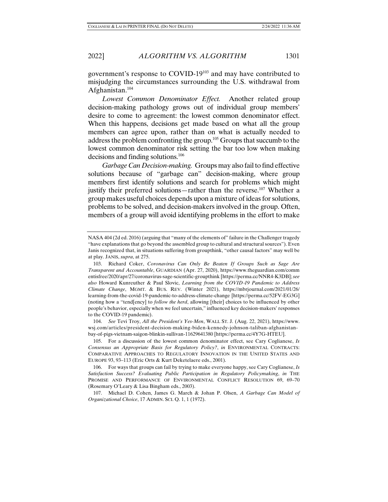government's response to COVID-19103 and may have contributed to misjudging the circumstances surrounding the U.S. withdrawal from Afghanistan.104

*Lowest Common Denominator Effect.* Another related group decision-making pathology grows out of individual group members' desire to come to agreement: the lowest common denominator effect. When this happens, decisions get made based on what all the group members can agree upon, rather than on what is actually needed to address the problem confronting the group.105 Groups that succumb to the lowest common denominator risk setting the bar too low when making decisions and finding solutions.106

*Garbage Can Decision-making.* Groups may also fail to find effective solutions because of "garbage can" decision-making, where group members first identify solutions and search for problems which might justify their preferred solutions—rather than the reverse.<sup>107</sup> Whether a group makes useful choices depends upon a mixture of ideas for solutions, problems to be solved, and decision-makers involved in the group. Often, members of a group will avoid identifying problems in the effort to make

 104. *See* Tevi Troy, *All the President's Yes-Men*, WALL ST. J. (Aug. 22, 2021), https://www. wsj.com/articles/president-decision-making-biden-kennedy-johnson-taliban-afghanistanbay-of-pigs-vietnam-saigon-blinkin-sullivan-11629641380 [https://perma.cc/4Y7G-HTEU].

 105. For a discussion of the lowest common denominator effect, see Cary Coglianese, *Is Consensus an Appropriate Basis for Regulatory Policy?*, *in* ENVIRONMENTAL CONTRACTS: COMPARATIVE APPROACHES TO REGULATORY INNOVATION IN THE UNITED STATES AND EUROPE 93, 93–113 (Eric Orts & Kurt Deketelaere eds., 2001).

 106. For ways that groups can fail by trying to make everyone happy, see Cary Coglianese, *Is Satisfaction Success? Evaluating Public Participation in Regulatory Policymaking*, *in* THE PROMISE AND PERFORMANCE OF ENVIRONMENTAL CONFLICT RESOLUTION 69, 69-70 (Rosemary O'Leary & Lisa Bingham eds., 2003).

 107. Michael D. Cohen, James G. March & Johan P. Olsen, *A Garbage Can Model of Organizational Choice*, 17 ADMIN. SCI. Q. 1, 1 (1972).

NASA 404 (2d ed. 2016) (arguing that "many of the elements of" failure in the Challenger tragedy "have explanations that go beyond the assembled group to cultural and structural sources"). Even Janis recognized that, in situations suffering from groupthink, "other causal factors" may well be at play. JANIS, *supra*, at 275.

 <sup>103.</sup> Richard Coker, *Coronavirus Can Only Be Beaten If Groups Such as Sage Are Transparent and Accountable*, GUARDIAN (Apr. 27, 2020), https://www.theguardian.com/comm entisfree/2020/apr/27/coronavirus-sage-scientific-groupthink [https://perma.cc/NNR4-K3DB]; *see also* Howard Kunreuther & Paul Slovic, *Learning from the COVID*‐*19 Pandemic to Address Climate Change*, MGMT. & BUS. REV. (Winter 2021), https://mbrjournal.com/2021/01/26/ learning-from-the-covid-19-pandemic-to-address-climate-change [https://perma.cc/52FV-EG3G] (noting how a "tend[ency] to *follow the herd*, allowing [their] choices to be influenced by other people's behavior, especially when we feel uncertain," influenced key decision-makers' responses to the COVID-19 pandemic).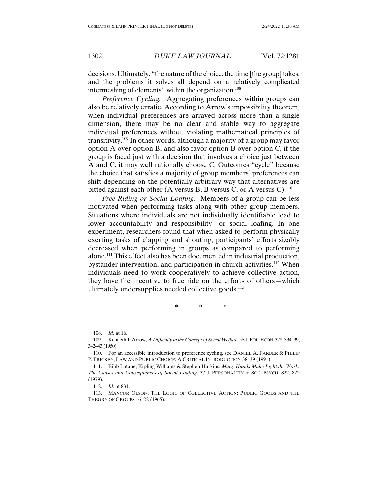decisions. Ultimately, "the nature of the choice, the time [the group] takes, and the problems it solves all depend on a relatively complicated intermeshing of elements" within the organization.<sup>108</sup>

*Preference Cycling.* Aggregating preferences within groups can also be relatively erratic. According to Arrow's impossibility theorem, when individual preferences are arrayed across more than a single dimension, there may be no clear and stable way to aggregate individual preferences without violating mathematical principles of transitivity.109 In other words, although a majority of a group may favor option A over option B, and also favor option B over option C, if the group is faced just with a decision that involves a choice just between A and C, it may well rationally choose C. Outcomes "cycle" because the choice that satisfies a majority of group members' preferences can shift depending on the potentially arbitrary way that alternatives are pitted against each other (A versus B, B versus C, or A versus C).<sup>110</sup>

*Free Riding or Social Loafing.* Members of a group can be less motivated when performing tasks along with other group members. Situations where individuals are not individually identifiable lead to lower accountability and responsibility—or social loafing. In one experiment, researchers found that when asked to perform physically exerting tasks of clapping and shouting, participants' efforts sizably decreased when performing in groups as compared to performing alone.111 This effect also has been documented in industrial production, bystander intervention, and participation in church activities.<sup>112</sup> When individuals need to work cooperatively to achieve collective action, they have the incentive to free ride on the efforts of others—which ultimately undersupplies needed collective goods. $^{113}$ 

\* \* \*

 <sup>108.</sup> *Id.* at 16.

 <sup>109.</sup> Kenneth J. Arrow, *A Difficulty in the Concept of Social Welfare*, 58 J.POL.ECON. 328, 334–39, 342–43 (1950).

 <sup>110.</sup> For an accessible introduction to preference cycling, see DANIEL A. FARBER & PHILIP P. FRICKEY, LAW AND PUBLIC CHOICE: A CRITICAL INTRODUCTION 38–39 (1991).

 <sup>111.</sup> Bibb Latané, Kipling Williams & Stephen Harkins, *Many Hands Make Light the Work: The Causes and Consequences of Social Loafing*, 37 J. PERSONALITY & SOC. PSYCH. 822, 822 (1979).

 <sup>112.</sup> *Id.* at 831.

 <sup>113.</sup> MANCUR OLSON, THE LOGIC OF COLLECTIVE ACTION: PUBLIC GOODS AND THE THEORY OF GROUPS 16–22 (1965).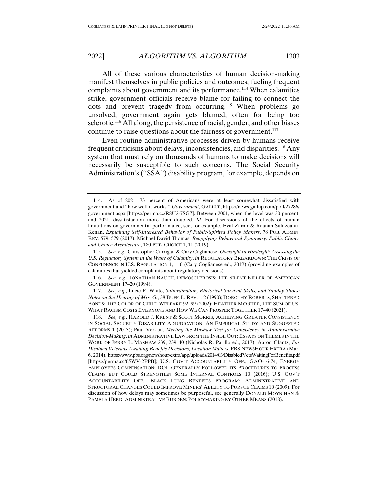All of these various characteristics of human decision-making manifest themselves in public policies and outcomes, fueling frequent complaints about government and its performance.<sup>114</sup> When calamities strike, government officials receive blame for failing to connect the dots and prevent tragedy from occurring.115 When problems go unsolved, government again gets blamed, often for being too sclerotic.<sup>116</sup> All along, the persistence of racial, gender, and other biases continue to raise questions about the fairness of government. $117$ 

Even routine administrative processes driven by humans receive frequent criticisms about delays, inconsistencies, and disparities.118 Any system that must rely on thousands of humans to make decisions will necessarily be susceptible to such concerns. The Social Security Administration's ("SSA") disability program, for example, depends on

 <sup>114.</sup> As of 2021, 73 percent of Americans were at least somewhat dissatisfied with government and "how well it works." *Government*, GALLUP, https://news.gallup.com/poll/27286/ government.aspx [https://perma.cc/R8U2-7SG7]. Between 2001, when the level was 30 percent, and 2021, dissatisfaction more than doubled. *Id.* For discussions of the effects of human limitations on governmental performance, see, for example, Eyal Zamir & Raanan Sulitzeanu-Kenan, *Explaining Self-Interested Behavior of Public-Spirited Policy Makers*, 78 PUB. ADMIN. REV. 579, 579 (2017); Michael David Thomas, *Reapplying Behavioral Symmetry: Public Choice and Choice Architecture*, 180 PUB. CHOICE 1, 11 (2019).

 <sup>115.</sup> *See, e.g.*, Christopher Carrigan & Cary Coglianese, *Oversight in Hindsight: Assessing the U.S. Regulatory System in the Wake of Calamity*, *in* REGULATORY BREAKDOWN: THE CRISIS OF CONFIDENCE IN U.S. REGULATION 1, 1–6 (Cary Coglianese ed., 2012) (providing examples of calamities that yielded complaints about regulatory decisions).

 <sup>116.</sup> *See, e.g.*, JONATHAN RAUCH, DEMOSCLEROSIS: THE SILENT KILLER OF AMERICAN GOVERNMENT 17–20 (1994).

 <sup>117.</sup> *See, e.g.*, Lucie E. White, *Subordination, Rhetorical Survival Skills, and Sunday Shoes: Notes on the Hearing of Mrs. G.*, 38 BUFF. L. REV. 1, 2 (1990); DOROTHY ROBERTS, SHATTERED BONDS: THE COLOR OF CHILD WELFARE 92–99 (2002); HEATHER MCGHEE, THE SUM OF US: WHAT RACISM COSTS EVERYONE AND HOW WE CAN PROSPER TOGETHER 17–40 (2021).

 <sup>118.</sup> *See, e.g.*, HAROLD J. KRENT & SCOTT MORRIS, ACHIEVING GREATER CONSISTENCY IN SOCIAL SECURITY DISABILITY ADJUDICATION: AN EMPIRICAL STUDY AND SUGGESTED REFORMS 1 (2013); Paul Verkuil, *Meeting the Mashaw Test for Consistency in Administrative Decision-Making*, *in* ADMINISTRATIVE LAW FROM THE INSIDE OUT: ESSAYS ON THEMES IN THE WORK OF JERRY L. MASHAW 239, 239–40 (Nicholas R. Parillo ed., 2017); Aaron Glantz, *For Disabled Veterans Awaiting Benefits Decisions, Location Matters*, PBS NEWSHOUR EXTRA (Mar. 6, 2014), https://www.pbs.org/newshour/extra/app/uploads/2014/03/DisabledVetsWaitingForBenefits.pdf [https://perma.cc/65WV-2PPB]; U.S. GOV'T ACCOUNTABILITY OFF., GAO-16-74, ENERGY EMPLOYEES COMPENSATION: DOL GENERALLY FOLLOWED ITS PROCEDURES TO PROCESS CLAIMS BUT COULD STRENGTHEN SOME INTERNAL CONTROLS 10 (2016); U.S. GOV'T ACCOUNTABILITY OFF., BLACK LUNG BENEFITS PROGRAM: ADMINISTRATIVE AND STRUCTURAL CHANGES COULD IMPROVE MINERS' ABILITY TO PURSUE CLAIMS 10 (2009). For discussion of how delays may sometimes be purposeful, see generally DONALD MOYNIHAN & PAMELA HERD, ADMINISTRATIVE BURDEN: POLICYMAKING BY OTHER MEANS (2018).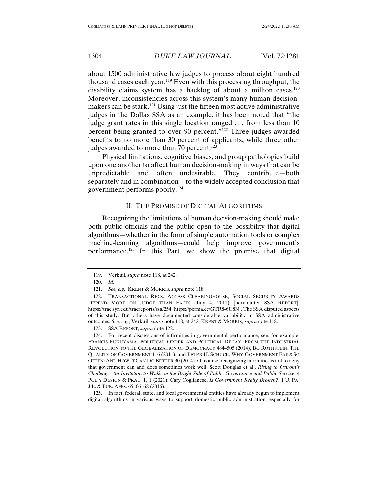about 1500 administrative law judges to process about eight hundred thousand cases each year.<sup>119</sup> Even with this processing throughput, the disability claims system has a backlog of about a million cases.<sup>120</sup> Moreover, inconsistencies across this system's many human decisionmakers can be stark.<sup>121</sup> Using just the fifteen most active administrative judges in the Dallas SSA as an example, it has been noted that "the judge grant rates in this single location ranged . . . from less than 10 percent being granted to over 90 percent."122 Three judges awarded benefits to no more than 30 percent of applicants, while three other judges awarded to more than 70 percent.<sup>123</sup>

Physical limitations, cognitive biases, and group pathologies build upon one another to affect human decision-making in ways that can be unpredictable and often undesirable. They contribute—both separately and in combination—to the widely accepted conclusion that government performs poorly.124

#### II. THE PROMISE OF DIGITAL ALGORITHMS

Recognizing the limitations of human decision-making should make both public officials and the public open to the possibility that digital algorithms—whether in the form of simple automation tools or complex machine-learning algorithms—could help improve government's performance.125 In this Part, we show the promise that digital

123. SSA REPORT, *supra* note 122.

 125. In fact, federal, state, and local governmental entities have already begun to implement digital algorithms in various ways to support domestic public administration, especially for

 <sup>119.</sup> Verkuil, *supra* note 118, at 242.

 <sup>120.</sup> *Id.*

 <sup>121.</sup> *See, e.g.*, KRENT & MORRIS, *supra* note 118.

 <sup>122.</sup> TRANSACTIONAL RECS. ACCESS CLEARINGHOUSE, SOCIAL SECURITY AWARDS DEPEND MORE ON JUDGE THAN FACTS (July 4, 2011) [hereinafter SSA REPORT], https://trac.syr.edu/tracreports/ssa/254 [https://perma.cc/GTR8-6U8N]. The SSA disputed aspects of this study. But others have documented considerable variability in SSA administrative outcomes. *See, e.g.*, Verkuil, *supra* note 118, at 242; KRENT & MORRIS, *supra* note 118.

 <sup>124.</sup> For recent discussions of infirmities in governmental performance, see, for example, FRANCIS FUKUYAMA, POLITICAL ORDER AND POLITICAL DECAY: FROM THE INDUSTRIAL REVOLUTION TO THE GLOBALIZATION OF DEMOCRACY 484–505 (2014), BO ROTHSTEIN, THE QUALITY OF GOVERNMENT 1–6 (2011), and PETER H. SCHUCK, WHY GOVERNMENT FAILS SO OFTEN: AND HOW IT CAN DO BETTER 30 (2014). Of course, recognizing infirmities is not to deny that government can and does sometimes work well. Scott Douglas et al., *Rising to Ostrom's Challenge: An Invitation to Walk on the Bright Side of Public Governance and Public Service*, 4 POL'Y DESIGN & PRAC. 1, 1 (2021); Cary Coglianese, *Is Government Really Broken?*, 1 U. PA. J.L. & PUB. AFFS. 65, 66–68 (2016).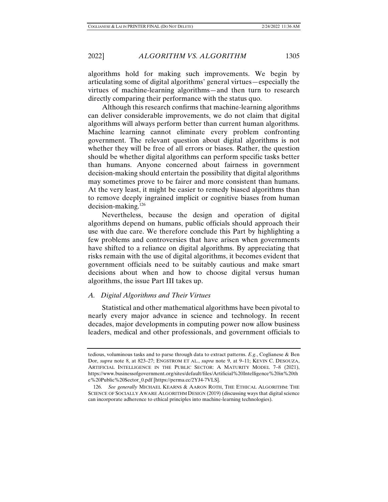algorithms hold for making such improvements. We begin by articulating some of digital algorithms' general virtues—especially the virtues of machine-learning algorithms—and then turn to research directly comparing their performance with the status quo.

Although this research confirms that machine-learning algorithms can deliver considerable improvements, we do not claim that digital algorithms will always perform better than current human algorithms. Machine learning cannot eliminate every problem confronting government. The relevant question about digital algorithms is not whether they will be free of all errors or biases. Rather, the question should be whether digital algorithms can perform specific tasks better than humans. Anyone concerned about fairness in government decision-making should entertain the possibility that digital algorithms may sometimes prove to be fairer and more consistent than humans. At the very least, it might be easier to remedy biased algorithms than to remove deeply ingrained implicit or cognitive biases from human decision-making.126

Nevertheless, because the design and operation of digital algorithms depend on humans, public officials should approach their use with due care. We therefore conclude this Part by highlighting a few problems and controversies that have arisen when governments have shifted to a reliance on digital algorithms. By appreciating that risks remain with the use of digital algorithms, it becomes evident that government officials need to be suitably cautious and make smart decisions about when and how to choose digital versus human algorithms, the issue Part III takes up.

# *A. Digital Algorithms and Their Virtues*

Statistical and other mathematical algorithms have been pivotal to nearly every major advance in science and technology. In recent decades, major developments in computing power now allow business leaders, medical and other professionals, and government officials to

tedious, voluminous tasks and to parse through data to extract patterns. *E.g.*, Coglianese & Ben Dor, *supra* note 8, at 823–27; ENGSTROM ET AL., *supra* note 9, at 9–11; KEVIN C. DESOUZA, ARTIFICIAL INTELLIGENCE IN THE PUBLIC SECTOR: A MATURITY MODEL 7–8 (2021), https://www.businessofgovernment.org/sites/default/files/Artificial%20Intelligence%20in%20th e%20Public%20Sector\_0.pdf [https://perma.cc/2YJ4-7VLS].

 <sup>126.</sup> *See generally* MICHAEL KEARNS & AARON ROTH, THE ETHICAL ALGORITHM: THE SCIENCE OF SOCIALLY AWARE ALGORITHM DESIGN (2019) (discussing ways that digital science can incorporate adherence to ethical principles into machine-learning technologies).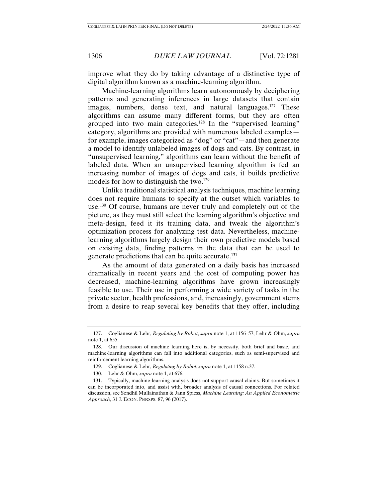improve what they do by taking advantage of a distinctive type of digital algorithm known as a machine-learning algorithm.

Machine-learning algorithms learn autonomously by deciphering patterns and generating inferences in large datasets that contain images, numbers, dense text, and natural languages.<sup>127</sup> These algorithms can assume many different forms, but they are often grouped into two main categories.<sup>128</sup> In the "supervised learning" category, algorithms are provided with numerous labeled examples for example, images categorized as "dog" or "cat"—and then generate a model to identify unlabeled images of dogs and cats. By contrast, in "unsupervised learning," algorithms can learn without the benefit of labeled data. When an unsupervised learning algorithm is fed an increasing number of images of dogs and cats, it builds predictive models for how to distinguish the two.<sup>129</sup>

Unlike traditional statistical analysis techniques, machine learning does not require humans to specify at the outset which variables to use.130 Of course, humans are never truly and completely out of the picture, as they must still select the learning algorithm's objective and meta-design, feed it its training data, and tweak the algorithm's optimization process for analyzing test data. Nevertheless, machinelearning algorithms largely design their own predictive models based on existing data, finding patterns in the data that can be used to generate predictions that can be quite accurate.<sup>131</sup>

As the amount of data generated on a daily basis has increased dramatically in recent years and the cost of computing power has decreased, machine-learning algorithms have grown increasingly feasible to use. Their use in performing a wide variety of tasks in the private sector, health professions, and, increasingly, government stems from a desire to reap several key benefits that they offer, including

 <sup>127.</sup> Coglianese & Lehr, *Regulating by Robot*, *supra* note 1, at 1156–57; Lehr & Ohm, *supra* note 1, at 655.

 <sup>128.</sup> Our discussion of machine learning here is, by necessity, both brief and basic, and machine-learning algorithms can fall into additional categories, such as semi-supervised and reinforcement learning algorithms.

 <sup>129.</sup> Coglianese & Lehr, *Regulating by Robot*, *supra* note 1, at 1158 n.37.

 <sup>130.</sup> Lehr & Ohm, *supra* note 1, at 676.

 <sup>131.</sup> Typically, machine-learning analysis does not support causal claims. But sometimes it can be incorporated into, and assist with, broader analysis of causal connections. For related discussion, see Sendhil Mullainathan & Jann Spiess, *Machine Learning: An Applied Econometric Approach*, 31 J. ECON. PERSPS. 87, 96 (2017).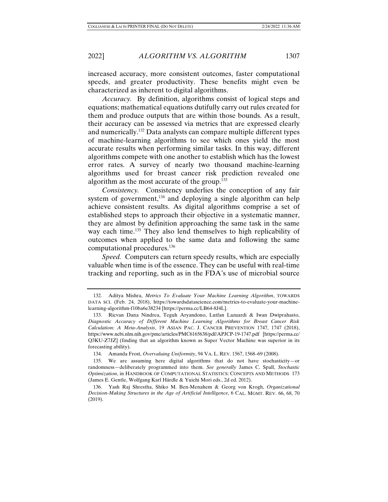increased accuracy, more consistent outcomes, faster computational speeds, and greater productivity. These benefits might even be characterized as inherent to digital algorithms.

*Accuracy.* By definition, algorithms consist of logical steps and equations; mathematical equations dutifully carry out rules created for them and produce outputs that are within those bounds. As a result, their accuracy can be assessed via metrics that are expressed clearly and numerically.132 Data analysts can compare multiple different types of machine-learning algorithms to see which ones yield the most accurate results when performing similar tasks. In this way, different algorithms compete with one another to establish which has the lowest error rates. A survey of nearly two thousand machine-learning algorithms used for breast cancer risk prediction revealed one algorithm as the most accurate of the group.133

*Consistency.* Consistency underlies the conception of any fair system of government, $134$  and deploying a single algorithm can help achieve consistent results. As digital algorithms comprise a set of established steps to approach their objective in a systematic manner, they are almost by definition approaching the same task in the same way each time.<sup>135</sup> They also lend themselves to high replicability of outcomes when applied to the same data and following the same computational procedures.136

*Speed.* Computers can return speedy results, which are especially valuable when time is of the essence. They can be useful with real-time tracking and reporting, such as in the FDA's use of microbial source

 <sup>132.</sup> Aditya Mishra, *Metrics To Evaluate Your Machine Learning Algorithm*, TOWARDS DATA SCI. (Feb. 24, 2018), https://towardsdatascience.com/metrics-to-evaluate-your-machinelearning-algorithm-f10ba6e38234 [https://perma.cc/LB64-8J4L].

 <sup>133.</sup> Ricvan Dana Nindrea, Teguh Aryandono, Lutfan Lazuardi & Iwan Dwiprahasto, *Diagnostic Accuracy of Different Machine Learning Algorithms for Breast Cancer Risk Calculation: A Meta-Analysis*, 19 ASIAN PAC. J. CANCER PREVENTION 1747, 1747 (2018), https://www.ncbi.nlm.nih.gov/pmc/articles/PMC6165638/pdf/APJCP-19-1747.pdf [https://perma.cc/ Q3KU-Z7JZ] (finding that an algorithm known as Super Vector Machine was superior in its forecasting ability).

 <sup>134.</sup> Amanda Frost, *Overvaluing Uniformity*, 94 VA. L. REV. 1567, 1568–69 (2008).

 <sup>135.</sup> We are assuming here digital algorithms that do not have stochasticity—or randomness—deliberately programmed into them. *See generally* James C. Spall, *Stochastic Optimization*, in HANDBOOK OF COMPUTATIONAL STATISTICS: CONCEPTS AND METHODS 173 (James E. Gentle, Wolfgang Karl Härdle & Yuichi Mori eds., 2d ed. 2012).

 <sup>136.</sup> Yash Raj Shrestha, Shiko M. Ben-Menahem & Georg von Krogh, *Organizational Decision-Making Structures in the Age of Artificial Intelligence*, 6 CAL. MGMT. REV. 66, 68, 70 (2019).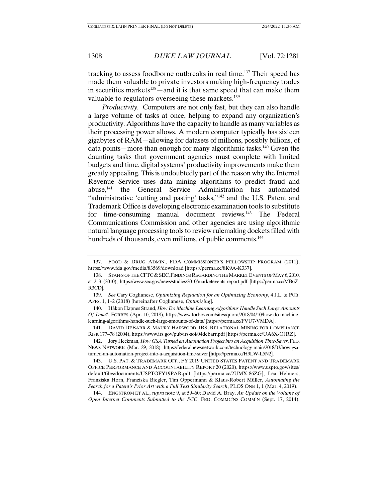tracking to assess foodborne outbreaks in real time.137 Their speed has made them valuable to private investors making high-frequency trades in securities markets<sup>138</sup>—and it is that same speed that can make them valuable to regulators overseeing these markets.<sup>139</sup>

*Productivity.* Computers are not only fast, but they can also handle a large volume of tasks at once, helping to expand any organization's productivity. Algorithms have the capacity to handle as many variables as their processing power allows. A modern computer typically has sixteen gigabytes of RAM—allowing for datasets of millions, possibly billions, of data points—more than enough for many algorithmic tasks.140 Given the daunting tasks that government agencies must complete with limited budgets and time, digital systems' productivity improvements make them greatly appealing. This is undoubtedly part of the reason why the Internal Revenue Service uses data mining algorithms to predict fraud and abuse,141 the General Service Administration has automated "administrative 'cutting and pasting' tasks,"142 and the U.S. Patent and Trademark Office is developing electronic examination tools to substitute for time-consuming manual document reviews.<sup>143</sup> The Federal Communications Commission and other agencies are using algorithmic natural language processing tools to review rulemaking dockets filled with hundreds of thousands, even millions, of public comments.<sup>144</sup>

 140. Håkon Hapnes Strand, *How Do Machine Learning Algorithms Handle Such Large Amounts Of Data?*, FORBES (Apr. 10, 2018), https://www.forbes.com/sites/quora/2018/04/10/how-do-machinelearning-algorithms-handle-such-large-amounts-of-data/ [https://perma.cc/FVU7-VMDA].

 141. DAVID DEBARR & MAURY HARWOOD, IRS, RELATIONAL MINING FOR COMPLIANCE RISK 177–78 (2004), https://www.irs.gov/pub/irs-soi/04debarr.pdf [https://perma.cc/UA6X-QJRZ].

 143. U.S. PAT. & TRADEMARK OFF., FY 2019 UNITED STATES PATENT AND TRADEMARK OFFICE PERFORMANCE AND ACCOUNTABILITY REPORT 20 (2020), https://www.uspto.gov/sites/ default/files/documents/USPTOFY19PAR.pdf [https://perma.cc/2UMX-86ZG]; Lea Helmers, Franziska Horn, Franziska Biegler, Tim Oppermann & Klaus-Robert Müller, *Automating the Search for a Patent's Prior Art with a Full Text Similarity Search*, PLOS ONE 1, 1 (Mar. 4, 2019).

 144. ENGSTROM ET AL., *supra* note 9, at 59–60; David A. Bray, *An Update on the Volume of Open Internet Comments Submitted to the FCC*, FED. COMMC'NS COMM'N (Sept. 17, 2014),

 <sup>137.</sup> FOOD & DRUG ADMIN., FDA COMMISSIONER'S FELLOWSHIP PROGRAM (2011), https://www.fda.gov/media/83569/download [https://perma.cc/8K9A-K337].

<sup>138.</sup> STAFFS OF THE CFTC & SEC, FINDINGS REGARDING THE MARKET EVENTS OF MAY 6, 2010, at 2–3 (2010), https://www.sec.gov/news/studies/2010/marketevents-report.pdf [https://perma.cc/MB6Z-R3CD].

 <sup>139.</sup> *See* Cary Coglianese, *Optimizing Regulation for an Optimizing Economy*, 4 J.L. & PUB. AFFS. 1, 1–2 (2018) [hereinafter Coglianese, *Optimizing*].

 <sup>142.</sup> Jory Heckman, *How GSA Turned an Automation Project into an Acquisition Time-Saver*, FED. NEWS NETWORK (Mar. 29, 2018), https://federalnewsnetwork.com/technology-main/2018/03/how-gsaturned-an-automation-project-into-a-acquisition-time-saver [https://perma.cc/H9LW-L5N2].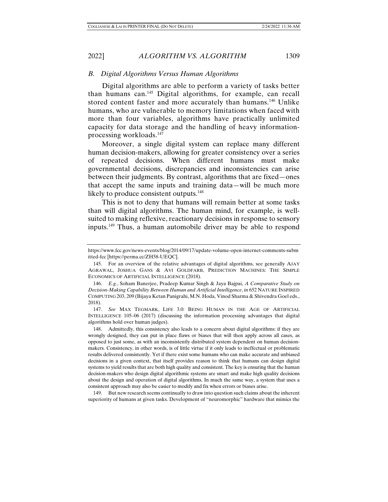# *B. Digital Algorithms Versus Human Algorithms*

Digital algorithms are able to perform a variety of tasks better than humans can.145 Digital algorithms, for example, can recall stored content faster and more accurately than humans.<sup>146</sup> Unlike humans, who are vulnerable to memory limitations when faced with more than four variables, algorithms have practically unlimited capacity for data storage and the handling of heavy informationprocessing workloads.147

Moreover, a single digital system can replace many different human decision-makers, allowing for greater consistency over a series of repeated decisions. When different humans must make governmental decisions, discrepancies and inconsistencies can arise between their judgments. By contrast, algorithms that are fixed—ones that accept the same inputs and training data—will be much more likely to produce consistent outputs.<sup>148</sup>

This is not to deny that humans will remain better at some tasks than will digital algorithms. The human mind, for example, is wellsuited to making reflexive, reactionary decisions in response to sensory inputs.149 Thus, a human automobile driver may be able to respond

 147. *See* MAX TEGMARK, LIFE 3.0: BEING HUMAN IN THE AGE OF ARTIFICIAL INTELLIGENCE 105–06 (2017) (discussing the information processing advantages that digital algorithms hold over human judges).

 149. But new research seems continually to draw into question such claims about the inherent superiority of humans at given tasks. Development of "neuromorphic" hardware that mimics the

https://www.fcc.gov/news-events/blog/2014/09/17/update-volume-open-internet-comments-subm itted-fcc [https://perma.cc/ZH58-UEQC].

 <sup>145.</sup> For an overview of the relative advantages of digital algorithms, see generally AJAY AGRAWAL, JOSHUA GANS & AVI GOLDFARB, PREDICTION MACHINES: THE SIMPLE ECONOMICS OF ARTIFICIAL INTELLIGENCE (2018).

 <sup>146.</sup> *E.g.*, Soham Banerjee, Pradeep Kumar Singh & Jaya Bajpai, *A Comparative Study on Decision-Making Capability Between Human and Artificial Intelligence*, *in* 652 NATURE INSPIRED COMPUTING 203, 209 (Bijaya Ketan Panigrahi, M.N. Hoda, Vinod Sharma & Shivendra Goel eds., 2018).

 <sup>148.</sup> Admittedly, this consistency also leads to a concern about digital algorithms: if they are wrongly designed, they can put in place flaws or biases that will then apply across all cases, as opposed to just some, as with an inconsistently distributed system dependent on human decisionmakers. Consistency, in other words, is of little virtue if it only leads to ineffectual or problematic results delivered consistently. Yet if there exist some humans who can make accurate and unbiased decisions in a given context, that itself provides reason to think that humans can design digital systems to yield results that are both high quality and consistent. The key is ensuring that the human decision-makers who design digital algorithmic systems are smart and make high quality decisions about the design and operation of digital algorithms. In much the same way, a system that uses a consistent approach may also be easier to modify and fix when errors or biases arise.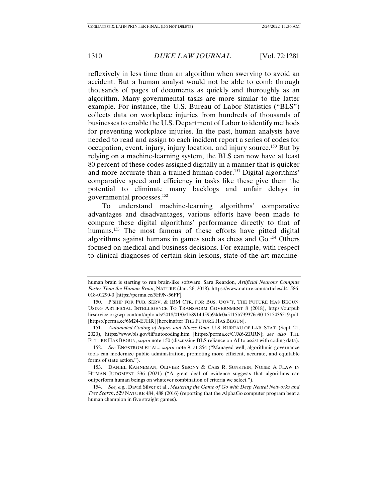reflexively in less time than an algorithm when swerving to avoid an accident. But a human analyst would not be able to comb through thousands of pages of documents as quickly and thoroughly as an algorithm. Many governmental tasks are more similar to the latter example. For instance, the U.S. Bureau of Labor Statistics ("BLS") collects data on workplace injuries from hundreds of thousands of businesses to enable the U.S. Department of Labor to identify methods for preventing workplace injuries. In the past, human analysts have needed to read and assign to each incident report a series of codes for occupation, event, injury, injury location, and injury source.150 But by relying on a machine-learning system, the BLS can now have at least 80 percent of these codes assigned digitally in a manner that is quicker and more accurate than a trained human coder.<sup>151</sup> Digital algorithms' comparative speed and efficiency in tasks like these give them the potential to eliminate many backlogs and unfair delays in governmental processes.152

To understand machine-learning algorithms' comparative advantages and disadvantages, various efforts have been made to compare these digital algorithms' performance directly to that of humans.<sup>153</sup> The most famous of these efforts have pitted digital algorithms against humans in games such as chess and Go.154 Others focused on medical and business decisions. For example, with respect to clinical diagnoses of certain skin lesions, state-of-the-art machine-

human brain is starting to run brain-like software. Sara Reardon, *Artificial Neurons Compute Faster Than the Human Brain*, NATURE (Jan. 26, 2018), https://www.nature.com/articles/d41586- 018-01290-0 [https://perma.cc/5H9N-56FF].

 <sup>150.</sup> P'SHIP FOR PUB. SERV. & IBM CTR. FOR BUS. GOV'T, THE FUTURE HAS BEGUN: USING ARTIFICIAL INTELLIGENCE TO TRANSFORM GOVERNMENT 8 (2018), https://ourpub licservice.org/wp-content/uploads/2018/01/0c1b8914d59b94dc0a5115b739376c90-1515436519.pdf [https://perma.cc/6M24-EJHR] [hereinafter THE FUTURE HAS BEGUN].

 <sup>151.</sup> *Automated Coding of Injury and Illness Data*, U.S. BUREAU OF LAB. STAT. (Sept. 21, 2020), https://www.bls.gov/iif/autocoding.htm [https://perma.cc/CJX6-ZRRN]; *see also* THE FUTURE HAS BEGUN, *supra* note 150 (discussing BLS reliance on AI to assist with coding data).

 <sup>152.</sup> *See* ENGSTROM ET AL., *supra* note 9, at 854 ("Managed well, algorithmic governance tools can modernize public administration, promoting more efficient, accurate, and equitable forms of state action.").

 <sup>153.</sup> DANIEL KAHNEMAN, OLIVIER SIBONY & CASS R. SUNSTEIN, NOISE: A FLAW IN HUMAN JUDGMENT 336 (2021) ("A great deal of evidence suggests that algorithms can outperform human beings on whatever combination of criteria we select.").

 <sup>154.</sup> *See, e.g.*, David Silver et al., *Mastering the Game of Go with Deep Neural Networks and Tree Search*, 529 NATURE 484, 488 (2016) (reporting that the AlphaGo computer program beat a human champion in five straight games).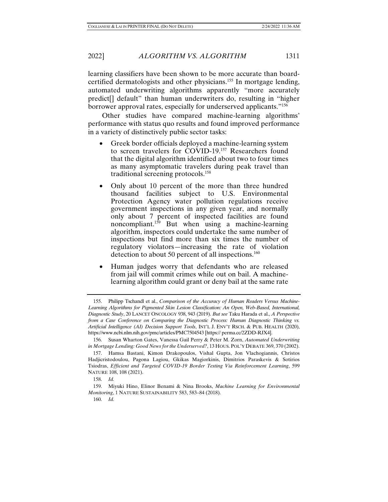2022] *ALGORITHM VS. ALGORITHM* 1311

learning classifiers have been shown to be more accurate than boardcertified dermatologists and other physicians.155 In mortgage lending, automated underwriting algorithms apparently "more accurately predict[] default" than human underwriters do, resulting in "higher borrower approval rates, especially for underserved applicants."156

Other studies have compared machine-learning algorithms' performance with status quo results and found improved performance in a variety of distinctively public sector tasks:

- Greek border officials deployed a machine-learning system to screen travelers for COVID-19.<sup>157</sup> Researchers found that the digital algorithm identified about two to four times as many asymptomatic travelers during peak travel than traditional screening protocols.158
- Only about 10 percent of the more than three hundred thousand facilities subject to U.S. Environmental Protection Agency water pollution regulations receive government inspections in any given year, and normally only about 7 percent of inspected facilities are found noncompliant.159 But when using a machine-learning algorithm, inspectors could undertake the same number of inspections but find more than six times the number of regulatory violators—increasing the rate of violation detection to about 50 percent of all inspections.<sup>160</sup>
- Human judges worry that defendants who are released from jail will commit crimes while out on bail. A machinelearning algorithm could grant or deny bail at the same rate

 <sup>155.</sup> Philipp Tschandl et al., *Comparison of the Accuracy of Human Readers Versus Machine-Learning Algorithms for Pigmented Skin Lesion Classification: An Open, Web-Based, International, Diagnostic Study*, 20 LANCET ONCOLOGY 938, 943 (2019). *But see* Taku Harada et al., *A Perspective from a Case Conference on Comparing the Diagnostic Process: Human Diagnostic Thinking vs. Artificial Intelligence (AI) Decision Support Tools*, INT'L J. ENV'T RSCH. & PUB. HEALTH (2020), https://www.ncbi.nlm.nih.gov/pmc/articles/PMC7504543 [https:// perma.cc/2ZDD-RJX4].

 <sup>156.</sup> Susan Wharton Gates, Vanessa Gail Perry & Peter M. Zorn, *Automated Underwriting in Mortgage Lending: Good News for the Underserved?*, 13 HOUS. POL'Y DEBATE 369, 370 (2002).

 <sup>157.</sup> Hamsa Bastani, Kimon Drakopoulos, Vishal Gupta, Jon Vlachogiannis, Christos Hadjicristodoulou, Pagona Lagiou, Gkikas Magiorkinis, Dimitrios Paraskevis & Sotirios Tsiodras, *Efficient and Targeted COVID-19 Border Testing Via Reinforcement Learning*, 599 NATURE 108, 108 (2021).

 <sup>158.</sup> *Id.*

 <sup>159.</sup> Miyuki Hino, Elinor Benami & Nina Brooks, *Machine Learning for Environmental Monitoring*, 1 NATURE SUSTAINABILITY 583, 583–84 (2018).

 <sup>160.</sup> *Id.*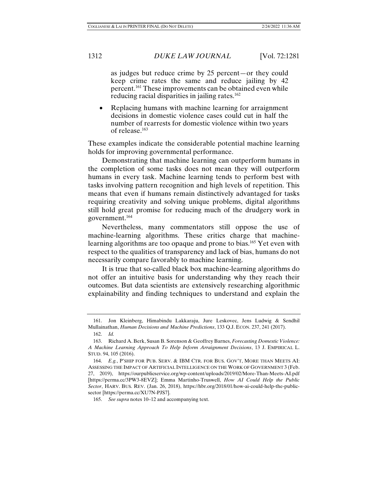as judges but reduce crime by 25 percent—or they could keep crime rates the same and reduce jailing by 42 percent.161 These improvements can be obtained even while reducing racial disparities in jailing rates.<sup>162</sup>

• Replacing humans with machine learning for arraignment decisions in domestic violence cases could cut in half the number of rearrests for domestic violence within two years of release.163

These examples indicate the considerable potential machine learning holds for improving governmental performance.

Demonstrating that machine learning can outperform humans in the completion of some tasks does not mean they will outperform humans in every task. Machine learning tends to perform best with tasks involving pattern recognition and high levels of repetition. This means that even if humans remain distinctively advantaged for tasks requiring creativity and solving unique problems, digital algorithms still hold great promise for reducing much of the drudgery work in government.164

Nevertheless, many commentators still oppose the use of machine-learning algorithms. These critics charge that machinelearning algorithms are too opaque and prone to bias.<sup>165</sup> Yet even with respect to the qualities of transparency and lack of bias, humans do not necessarily compare favorably to machine learning.

It is true that so-called black box machine-learning algorithms do not offer an intuitive basis for understanding why they reach their outcomes. But data scientists are extensively researching algorithmic explainability and finding techniques to understand and explain the

 <sup>161.</sup> Jon Kleinberg, Himabindu Lakkaraju, Jure Leskovec, Jens Ludwig & Sendhil Mullainathan, *Human Decisions and Machine Predictions*, 133 Q.J. ECON. 237, 241 (2017). 162. *Id.* 

 <sup>163.</sup> Richard A. Berk, Susan B. Sorenson & Geoffrey Barnes, *Forecasting Domestic Violence: A Machine Learning Approach To Help Inform Arraignment Decisions*, 13 J. EMPIRICAL L. STUD. 94, 105 (2016).

 <sup>164.</sup> *E.g.*, P'SHIP FOR PUB. SERV. & IBM CTR. FOR BUS. GOV'T, MORE THAN MEETS AI: ASSESSING THE IMPACT OF ARTIFICIAL INTELLIGENCE ON THE WORK OF GOVERNMENT 3 (Feb. 27, 2019), https://ourpublicservice.org/wp-content/uploads/2019/02/More-Than-Meets-AI.pdf [https://perma.cc/3PW3-8EVZ]; Emma Martinho-Truswell, *How AI Could Help the Public Sector*, HARV. BUS. REV. (Jan. 26, 2018), https://hbr.org/2018/01/how-ai-could-help-the-publicsector [https://perma.cc/XU7N-PJS7].

 <sup>165.</sup> *See supra* notes 10–12 and accompanying text.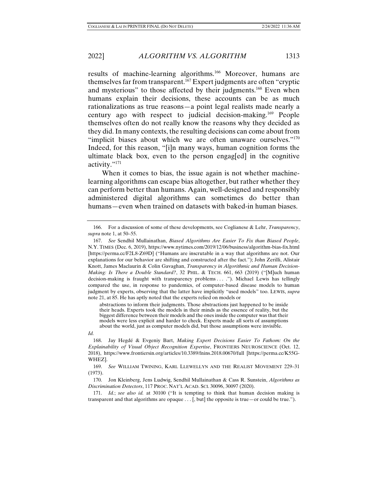results of machine-learning algorithms.<sup>166</sup> Moreover, humans are themselves far from transparent.<sup>167</sup> Expert judgments are often "cryptic and mysterious" to those affected by their judgments.168 Even when humans explain their decisions, these accounts can be as much rationalizations as true reasons—a point legal realists made nearly a century ago with respect to judicial decision-making.169 People themselves often do not really know the reasons why they decided as they did. In many contexts, the resulting decisions can come about from "implicit biases about which we are often unaware ourselves."<sup>170</sup> Indeed, for this reason, "[i]n many ways, human cognition forms the ultimate black box, even to the person engag[ed] in the cognitive activity."171

When it comes to bias, the issue again is not whether machinelearning algorithms can escape bias altogether, but rather whether they can perform better than humans. Again, well-designed and responsibly administered digital algorithms can sometimes do better than humans—even when trained on datasets with baked-in human biases.

abstractions to inform their judgments. Those abstractions just happened to be inside their heads. Experts took the models in their minds as the essence of reality, but the biggest difference between their models and the ones inside the computer was that their models were less explicit and harder to check. Experts made all sorts of assumptions about the world, just as computer models did, but those assumptions were invisible.

*Id.*

 <sup>166.</sup> For a discussion of some of these developments, see Coglianese & Lehr, *Transparency*, *supra* note 1, at 50–55.

 <sup>167.</sup> *See* Sendhil Mullainathan, *Biased Algorithms Are Easier To Fix than Biased People*, N.Y. TIMES (Dec. 6, 2019), https://www.nytimes.com/2019/12/06/business/algorithm-bias-fix.html [https://perma.cc/F2L8-Z69D] ("Humans are inscrutable in a way that algorithms are not. Our explanations for our behavior are shifting and constructed after the fact."); John Zerilli, Alistair Knott, James Maclaurin & Colin Gavaghan, *Transparency in Algorithmic and Human Decision-Making: Is There a Double Standard?*, 32 PHIL. & TECH. 661, 663 (2019) ("[M]uch human decision-making is fraught with transparency problems . . . ."). Michael Lewis has tellingly compared the use, in response to pandemics, of computer-based disease models to human judgment by experts, observing that the latter have implicitly "used models" too. LEWIS, *supra* note 21, at 85. He has aptly noted that the experts relied on models or

 <sup>168.</sup> Jay Hegdé & Evgeniy Bart, *Making Expert Decisions Easier To Fathom: On the Explainability of Visual Object Recognition Expertise*, FRONTIERS NEUROSCIENCE (Oct. 12, 2018), https://www.frontiersin.org/articles/10.3389/fnins.2018.00670/full [https://perma.cc/K55G-WHEZ].

 <sup>169.</sup> *See* WILLIAM TWINING, KARL LLEWELLYN AND THE REALIST MOVEMENT 229–31 (1973).

 <sup>170.</sup> Jon Kleinberg, Jens Ludwig, Sendhil Mullainathan & Cass R. Sunstein, *Algorithms as Discrimination Detectors*, 117 PROC. NAT'L ACAD. SCI. 30096, 30097 (2020).

 <sup>171.</sup> *Id.*; *see also id.* at 30100 ("It is tempting to think that human decision making is transparent and that algorithms are opaque . . . [, but] the opposite is true—or could be true.").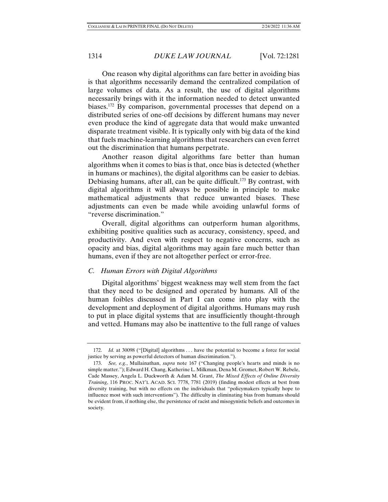One reason why digital algorithms can fare better in avoiding bias is that algorithms necessarily demand the centralized compilation of large volumes of data. As a result, the use of digital algorithms necessarily brings with it the information needed to detect unwanted biases.172 By comparison, governmental processes that depend on a distributed series of one-off decisions by different humans may never even produce the kind of aggregate data that would make unwanted disparate treatment visible. It is typically only with big data of the kind that fuels machine-learning algorithms that researchers can even ferret out the discrimination that humans perpetrate.

Another reason digital algorithms fare better than human algorithms when it comes to bias is that, once bias is detected (whether in humans or machines), the digital algorithms can be easier to debias. Debiasing humans, after all, can be quite difficult.<sup>173</sup> By contrast, with digital algorithms it will always be possible in principle to make mathematical adjustments that reduce unwanted biases. These adjustments can even be made while avoiding unlawful forms of "reverse discrimination."

Overall, digital algorithms can outperform human algorithms, exhibiting positive qualities such as accuracy, consistency, speed, and productivity. And even with respect to negative concerns, such as opacity and bias, digital algorithms may again fare much better than humans, even if they are not altogether perfect or error-free.

### *C. Human Errors with Digital Algorithms*

Digital algorithms' biggest weakness may well stem from the fact that they need to be designed and operated by humans. All of the human foibles discussed in Part I can come into play with the development and deployment of digital algorithms. Humans may rush to put in place digital systems that are insufficiently thought-through and vetted. Humans may also be inattentive to the full range of values

 <sup>172.</sup> *Id.* at 30098 ("[Digital] algorithms . . . have the potential to become a force for social justice by serving as powerful detectors of human discrimination.").

 <sup>173.</sup> *See, e.g.*, Mullainathan, *supra* note 167 ("Changing people's hearts and minds is no simple matter."); Edward H. Chang, Katherine L. Milkman, Dena M. Gromet, Robert W. Rebele, Cade Massey, Angela L. Duckworth & Adam M. Grant, *The Mixed Effects of Online Diversity Training*, 116 PROC. NAT'L ACAD. SCI. 7778, 7781 (2019) (finding modest effects at best from diversity training, but with no effects on the individuals that "policymakers typically hope to influence most with such interventions"). The difficulty in eliminating bias from humans should be evident from, if nothing else, the persistence of racist and misogynistic beliefs and outcomes in society.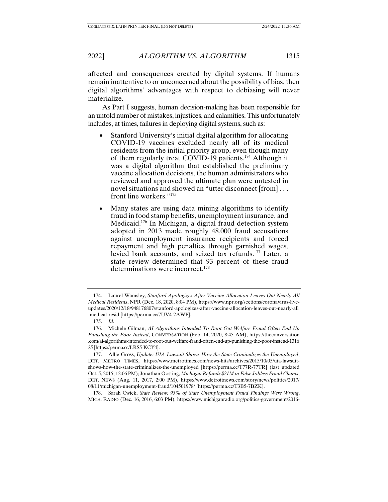2022] *ALGORITHM VS. ALGORITHM* 1315

affected and consequences created by digital systems. If humans remain inattentive to or unconcerned about the possibility of bias, then digital algorithms' advantages with respect to debiasing will never materialize.

As Part I suggests, human decision-making has been responsible for an untold number of mistakes, injustices, and calamities. This unfortunately includes, at times, failures in deploying digital systems, such as:

- Stanford University's initial digital algorithm for allocating COVID-19 vaccines excluded nearly all of its medical residents from the initial priority group, even though many of them regularly treat COVID-19 patients.174 Although it was a digital algorithm that established the preliminary vaccine allocation decisions, the human administrators who reviewed and approved the ultimate plan were untested in novel situations and showed an "utter disconnect [from] . . . front line workers."175
- Many states are using data mining algorithms to identify fraud in food stamp benefits, unemployment insurance, and Medicaid.176 In Michigan, a digital fraud detection system adopted in 2013 made roughly 48,000 fraud accusations against unemployment insurance recipients and forced repayment and high penalties through garnished wages, levied bank accounts, and seized tax refunds.177 Later, a state review determined that 93 percent of these fraud determinations were incorrect.178

 <sup>174.</sup> Laurel Wamsley, *Stanford Apologizes After Vaccine Allocation Leaves Out Nearly All Medical Residents*, NPR (Dec. 18, 2020, 8:04 PM), https://www.npr.org/sections/coronavirus-liveupdates/2020/12/18/948176807/stanford-apologizes-after-vaccine-allocation-leaves-out-nearly-all -medical-resid [https://perma.cc/7UV4-2AWP].

 <sup>175.</sup> *Id.*

 <sup>176.</sup> Michele Gilman, *AI Algorithms Intended To Root Out Welfare Fraud Often End Up Punishing the Poor Instead*, CONVERSATION (Feb. 14, 2020, 8:45 AM), https://theconversation .com/ai-algorithms-intended-to-root-out-welfare-fraud-often-end-up-punishing-the-poor-instead-1316 25 [https://perma.cc/LRS5-KCY4].

 <sup>177.</sup> Allie Gross, *Update: UIA Lawsuit Shows How the State Criminalizes the Unemployed*, DET. METRO TIMES, https://www.metrotimes.com/news-hits/archives/2015/10/05/uia-lawsuitshows-how-the-state-criminalizes-the-unemployed [https://perma.cc/T77R-77TR] (last updated Oct. 5, 2015, 12:06 PM); Jonathan Oosting, *Michigan Refunds \$21M in False Jobless Fraud Claims*, DET. NEWS (Aug. 11, 2017, 2:00 PM), https://www.detroitnews.com/story/news/politics/2017/ 08/11/michigan-unemployment-fraud/104501978/ [https://perma.cc/T3B5-7BZK].

 <sup>178.</sup> Sarah Cwiek, *State Review: 93% of State Unemployment Fraud Findings Were Wrong*, MICH. RADIO (Dec. 16, 2016, 6:03 PM), https://www.michiganradio.org/politics-government/2016-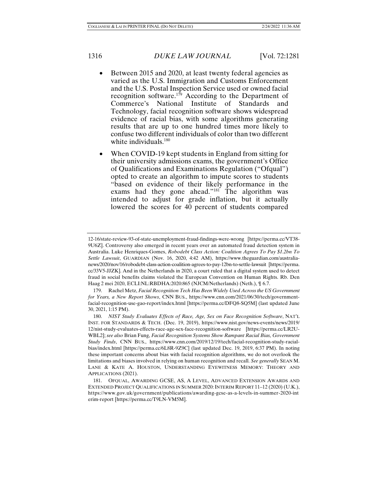- Between 2015 and 2020, at least twenty federal agencies as varied as the U.S. Immigration and Customs Enforcement and the U.S. Postal Inspection Service used or owned facial recognition software.<sup>179</sup> According to the Department of Commerce's National Institute of Standards and Technology, facial recognition software shows widespread evidence of racial bias, with some algorithms generating results that are up to one hundred times more likely to confuse two different individuals of color than two different white individuals.<sup>180</sup>
- When COVID-19 kept students in England from sitting for their university admissions exams, the government's Office of Qualifications and Examinations Regulation ("Ofqual") opted to create an algorithm to impute scores to students "based on evidence of their likely performance in the exams had they gone ahead."<sup>181</sup> The algorithm was intended to adjust for grade inflation, but it actually lowered the scores for 40 percent of students compared

<sup>12-16/</sup>state-review-93-of-state-unemployment-fraud-findings-were-wrong [https://perma.cc/VT38- 9U6Z]. Controversy also emerged in recent years over an automated fraud detection system in Australia. Luke Henriques-Gomes, *Robodebt Class Action: Coalition Agrees To Pay \$1.2bn To Settle Lawsuit*, GUARDIAN (Nov. 16, 2020, 4:42 AM), https://www.theguardian.com/australianews/2020/nov/16/robodebt-class-action-coalition-agrees-to-pay-12bn-to-settle-lawsuit [https://perma. cc/33V5-JJZK]. And in the Netherlands in 2020, a court ruled that a digital system used to detect fraud in social benefits claims violated the European Convention on Human Rights. Rb. Den Haag 2 mei 2020, ECLI:NL:RBDHA:2020:865 (NJCM/Netherlands) (Neth.), ¶ 6.7.

 <sup>179.</sup> Rachel Metz, *Facial Recognition Tech Has Been Widely Used Across the US Government for Years, a New Report Shows*, CNN BUS., https://www.cnn.com/2021/06/30/tech/governmentfacial-recognition-use-gao-report/index.html [https://perma.cc/DFQ8-SQ5M] (last updated June 30, 2021, 1:15 PM).

 <sup>180.</sup> *NIST Study Evaluates Effects of Race, Age, Sex on Face Recognition Software*, NAT'L INST. FOR STANDARDS & TECH. (Dec. 19, 2019), https://www.nist.gov/news-events/news/2019/ 12/nist-study-evaluates-effects-race-age-sex-face-recognition-software [https://perma.cc/LR2U-WBL2]; *see also* Brian Fung, *Facial Recognition Systems Show Rampant Racial Bias, Government Study Finds*, CNN BUS., https://www.cnn.com/2019/12/19/tech/facial-recognition-study-racialbias/index.html [https://perma.cc/6L8R-9Z9C] (last updated Dec. 19, 2019, 6:37 PM). In noting these important concerns about bias with facial recognition algorithms, we do not overlook the limitations and biases involved in relying on human recognition and recall. *See generally* SEAN M. LANE & KATE A. HOUSTON, UNDERSTANDING EYEWITNESS MEMORY: THEORY AND APPLICATIONS (2021).

 <sup>181.</sup> OFQUAL, AWARDING GCSE, AS, A LEVEL, ADVANCED EXTENSION AWARDS AND EXTENDED PROJECT QUALIFICATIONS IN SUMMER 2020: INTERIM REPORT 11-12 (2020) (U.K.), https://www.gov.uk/government/publications/awarding-gcse-as-a-levels-in-summer-2020-int erim-report [https://perma.cc/T9LN-VM5M].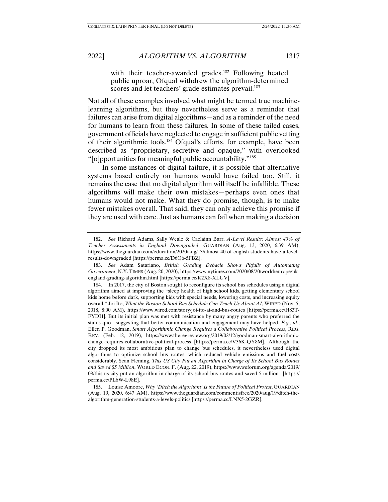2022] *ALGORITHM VS. ALGORITHM* 1317

with their teacher-awarded grades.<sup>182</sup> Following heated public uproar, Ofqual withdrew the algorithm-determined scores and let teachers' grade estimates prevail.<sup>183</sup>

Not all of these examples involved what might be termed true machinelearning algorithms, but they nevertheless serve as a reminder that failures can arise from digital algorithms—and as a reminder of the need for humans to learn from these failures. In some of these failed cases, government officials have neglected to engage in sufficient public vetting of their algorithmic tools.184 Ofqual's efforts, for example, have been described as "proprietary, secretive and opaque," with overlooked "[o]pportunities for meaningful public accountability."185

In some instances of digital failure, it is possible that alternative systems based entirely on humans would have failed too. Still, it remains the case that no digital algorithm will itself be infallible. These algorithms will make their own mistakes—perhaps even ones that humans would not make. What they do promise, though, is to make fewer mistakes overall. That said, they can only achieve this promise if they are used with care. Just as humans can fail when making a decision

 <sup>182.</sup> *See* Richard Adams, Sally Weale & Caelainn Barr, *A-Level Results: Almost 40% of Teacher Assessments in England Downgraded*, GUARDIAN (Aug. 13, 2020, 6:39 AM), https://www.theguardian.com/education/2020/aug/13/almost-40-of-english-students-have-a-levelresults-downgraded [https://perma.cc/D6Q6-5FBZ].

 <sup>183.</sup> *See* Adam Satariano, *British Grading Debacle Shows Pitfalls of Automating Government*, N.Y. TIMES (Aug. 20, 2020), https://www.nytimes.com/2020/08/20/world/europe/ukengland-grading-algorithm.html [https://perma.cc/K2X8-XLUV].

 <sup>184.</sup> In 2017, the city of Boston sought to reconfigure its school bus schedules using a digital algorithm aimed at improving the "sleep health of high school kids, getting elementary school kids home before dark, supporting kids with special needs, lowering costs, and increasing equity overall." Joi Ito, *What the Boston School Bus Schedule Can Teach Us About AI*, WIRED (Nov. 5, 2018, 8:00 AM), https://www.wired.com/story/joi-ito-ai-and-bus-routes [https://perma.cc/H83T-FYDH]. But its initial plan was met with resistance by many angry parents who preferred the status quo—suggesting that better communication and engagement may have helped. *E.g.*, *id.*; Ellen P. Goodman, *Smart Algorithmic Change Requires a Collaborative Political Process*, REG. REV. (Feb. 12, 2019), https://www.theregreview.org/2019/02/12/goodman-smart-algorithmicchange-requires-collaborative-political-process [https://perma.cc/V36K-QY8M]. Although the city dropped its most ambitious plan to change bus schedules, it nevertheless used digital algorithms to optimize school bus routes, which reduced vehicle emissions and fuel costs considerably. Sean Fleming, *This US City Put an Algorithm in Charge of Its School Bus Routes and Saved \$5 Million*, WORLD ECON. F. (Aug. 22, 2019), https://www.weforum.org/agenda/2019/ 08/this-us-city-put-an-algorithm-in-charge-of-its-school-bus-routes-and-saved-5-million [https:// perma.cc/PL6W-L98E].

 <sup>185.</sup> Louise Amoore, *Why 'Ditch the Algorithm' Is the Future of Political Protest*, GUARDIAN (Aug. 19, 2020, 6:47 AM), https://www.theguardian.com/commentisfree/2020/aug/19/ditch-thealgorithm-generation-students-a-levels-politics [https://perma.cc/LNX5-2GZR].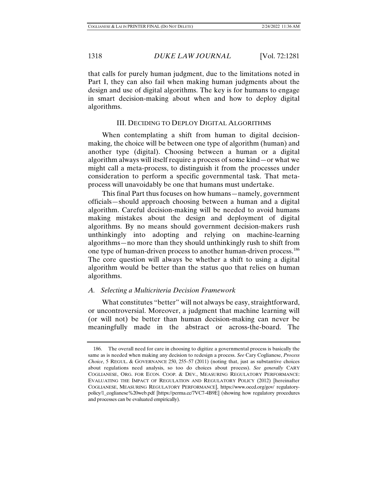that calls for purely human judgment, due to the limitations noted in Part I, they can also fail when making human judgments about the design and use of digital algorithms. The key is for humans to engage in smart decision-making about when and how to deploy digital algorithms.

# III. DECIDING TO DEPLOY DIGITAL ALGORITHMS

When contemplating a shift from human to digital decisionmaking, the choice will be between one type of algorithm (human) and another type (digital). Choosing between a human or a digital algorithm always will itself require a process of some kind—or what we might call a meta-process, to distinguish it from the processes under consideration to perform a specific governmental task. That metaprocess will unavoidably be one that humans must undertake.

This final Part thus focuses on how humans—namely, government officials—should approach choosing between a human and a digital algorithm. Careful decision-making will be needed to avoid humans making mistakes about the design and deployment of digital algorithms. By no means should government decision-makers rush unthinkingly into adopting and relying on machine-learning algorithms—no more than they should unthinkingly rush to shift from one type of human-driven process to another human-driven process.186 The core question will always be whether a shift to using a digital algorithm would be better than the status quo that relies on human algorithms.

# *A. Selecting a Multicriteria Decision Framework*

What constitutes "better" will not always be easy, straightforward, or uncontroversial. Moreover, a judgment that machine learning will (or will not) be better than human decision-making can never be meaningfully made in the abstract or across-the-board. The

 <sup>186.</sup> The overall need for care in choosing to digitize a governmental process is basically the same as is needed when making any decision to redesign a process. *See* Cary Coglianese, *Process Choice*, 5 REGUL. & GOVERNANCE 250, 255–57 (2011) (noting that, just as substantive choices about regulations need analysis, so too do choices about process). *See generally* CARY COGLIANESE, ORG. FOR ECON. COOP. & DEV., MEASURING REGULATORY PERFORMANCE: EVALUATING THE IMPACT OF REGULATION AND REGULATORY POLICY (2012) [hereinafter COGLIANESE, MEASURING REGULATORY PERFORMANCE], https://www.oecd.org/gov/ regulatorypolicy/1\_coglianese%20web.pdf [https://perma.cc/7VC7-4B9E] (showing how regulatory procedures and processes can be evaluated empirically).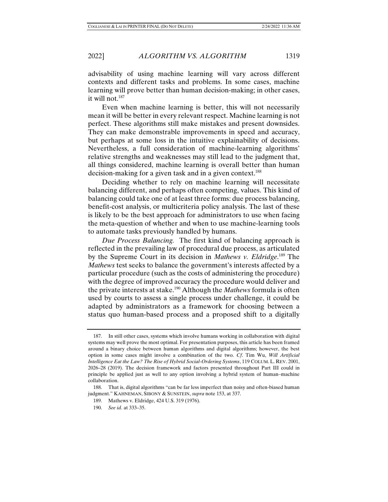advisability of using machine learning will vary across different contexts and different tasks and problems. In some cases, machine learning will prove better than human decision-making; in other cases, it will not.187

Even when machine learning is better, this will not necessarily mean it will be better in every relevant respect. Machine learning is not perfect. These algorithms still make mistakes and present downsides. They can make demonstrable improvements in speed and accuracy, but perhaps at some loss in the intuitive explainability of decisions. Nevertheless, a full consideration of machine-learning algorithms' relative strengths and weaknesses may still lead to the judgment that, all things considered, machine learning is overall better than human decision-making for a given task and in a given context.<sup>188</sup>

Deciding whether to rely on machine learning will necessitate balancing different, and perhaps often competing, values. This kind of balancing could take one of at least three forms: due process balancing, benefit-cost analysis, or multicriteria policy analysis. The last of these is likely to be the best approach for administrators to use when facing the meta-question of whether and when to use machine-learning tools to automate tasks previously handled by humans.

*Due Process Balancing.* The first kind of balancing approach is reflected in the prevailing law of procedural due process, as articulated by the Supreme Court in its decision in *Mathews v. Eldridge*. 189 The *Mathews* test seeks to balance the government's interests affected by a particular procedure (such as the costs of administering the procedure) with the degree of improved accuracy the procedure would deliver and the private interests at stake.190 Although the *Mathews* formula is often used by courts to assess a single process under challenge, it could be adapted by administrators as a framework for choosing between a status quo human-based process and a proposed shift to a digitally

 <sup>187.</sup> In still other cases, systems which involve humans working in collaboration with digital systems may well prove the most optimal. For presentation purposes, this article has been framed around a binary choice between human algorithms and digital algorithms; however, the best option in some cases might involve a combination of the two. *Cf*. Tim Wu, *Will Artificial Intelligence Eat the Law? The Rise of Hybrid Social-Ordering Systems*, 119 COLUM. L. REV. 2001, 2026–28 (2019). The decision framework and factors presented throughout Part III could in principle be applied just as well to any option involving a hybrid system of human–machine collaboration.

 <sup>188.</sup> That is, digital algorithms "can be far less imperfect than noisy and often-biased human judgment." KAHNEMAN, SIBONY & SUNSTEIN, *supra* note 153, at 337.

<sup>189.</sup>Mathews v. Eldridge, 424 U.S. 319 (1976).

 <sup>190.</sup> *See id.* at 333–35.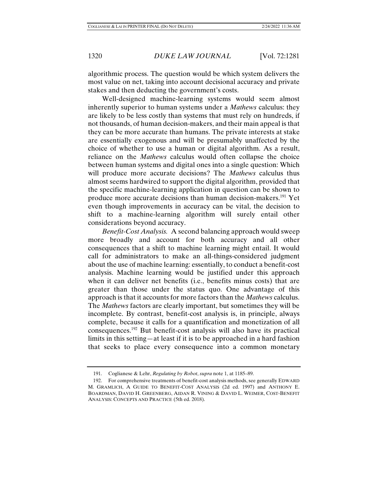algorithmic process. The question would be which system delivers the most value on net, taking into account decisional accuracy and private stakes and then deducting the government's costs.

Well-designed machine-learning systems would seem almost inherently superior to human systems under a *Mathews* calculus: they are likely to be less costly than systems that must rely on hundreds, if not thousands, of human decision-makers, and their main appeal is that they can be more accurate than humans. The private interests at stake are essentially exogenous and will be presumably unaffected by the choice of whether to use a human or digital algorithm. As a result, reliance on the *Mathews* calculus would often collapse the choice between human systems and digital ones into a single question: Which will produce more accurate decisions? The *Mathews* calculus thus almost seems hardwired to support the digital algorithm, provided that the specific machine-learning application in question can be shown to produce more accurate decisions than human decision-makers.191 Yet even though improvements in accuracy can be vital, the decision to shift to a machine-learning algorithm will surely entail other considerations beyond accuracy.

*Benefit-Cost Analysis.* A second balancing approach would sweep more broadly and account for both accuracy and all other consequences that a shift to machine learning might entail. It would call for administrators to make an all-things-considered judgment about the use of machine learning: essentially, to conduct a benefit-cost analysis. Machine learning would be justified under this approach when it can deliver net benefits (i.e., benefits minus costs) that are greater than those under the status quo. One advantage of this approach is that it accounts for more factors than the *Mathews* calculus. The *Mathews* factors are clearly important, but sometimes they will be incomplete. By contrast, benefit-cost analysis is, in principle, always complete, because it calls for a quantification and monetization of all consequences.192 But benefit-cost analysis will also have its practical limits in this setting—at least if it is to be approached in a hard fashion that seeks to place every consequence into a common monetary

 <sup>191.</sup> Coglianese & Lehr, *Regulating by Robot*, *supra* note 1, at 1185–89.

 <sup>192.</sup> For comprehensive treatments of benefit-cost analysis methods, see generally EDWARD M. GRAMLICH, A GUIDE TO BENEFIT-COST ANALYSIS (2d ed. 1997) and ANTHONY E. BOARDMAN, DAVID H. GREENBERG, AIDAN R. VINING & DAVID L. WEIMER, COST-BENEFIT ANALYSIS: CONCEPTS AND PRACTICE (5th ed. 2018).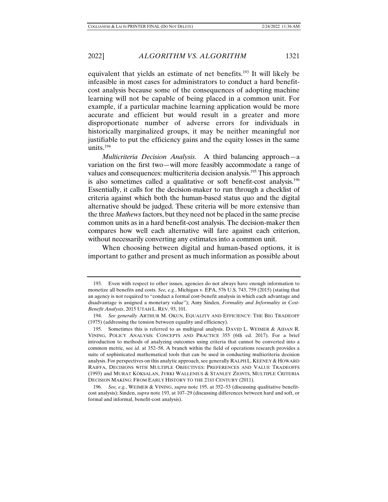2022] *ALGORITHM VS. ALGORITHM* 1321

equivalent that yields an estimate of net benefits.193 It will likely be infeasible in most cases for administrators to conduct a hard benefitcost analysis because some of the consequences of adopting machine learning will not be capable of being placed in a common unit. For example, if a particular machine learning application would be more accurate and efficient but would result in a greater and more disproportionate number of adverse errors for individuals in historically marginalized groups, it may be neither meaningful nor justifiable to put the efficiency gains and the equity losses in the same units. $194$ 

*Multicriteria Decision Analysis*. A third balancing approach—a variation on the first two—will more feasibly accommodate a range of values and consequences: multicriteria decision analysis.195 This approach is also sometimes called a qualitative or soft benefit-cost analysis.196 Essentially, it calls for the decision-maker to run through a checklist of criteria against which both the human-based status quo and the digital alternative should be judged. These criteria will be more extensive than the three *Mathews* factors, but they need not be placed in the same precise common units as in a hard benefit-cost analysis. The decision-maker then compares how well each alternative will fare against each criterion, without necessarily converting any estimates into a common unit.

When choosing between digital and human-based options, it is important to gather and present as much information as possible about

 <sup>193.</sup> Even with respect to other issues, agencies do not always have enough information to monetize all benefits and costs. *See, e.g.*, Michigan v. EPA, 576 U.S. 743, 759 (2015) (stating that an agency is not required to "conduct a formal cost-benefit analysis in which each advantage and disadvantage is assigned a monetary value"); Amy Sinden, *Formality and Informality in Cost-Benefit Analysis*, 2015 UTAH L. REV. 93, 101.

 <sup>194.</sup> *See generally* ARTHUR M. OKUN, EQUALITY AND EFFICIENCY: THE BIG TRADEOFF (1975) (addressing the tension between equality and efficiency).

 <sup>195.</sup> Sometimes this is referred to as multigoal analysis. DAVID L. WEIMER & AIDAN R. VINING, POLICY ANALYSIS: CONCEPTS AND PRACTICE 355 (6th ed. 2017). For a brief introduction to methods of analyzing outcomes using criteria that cannot be converted into a common metric, see *id.* at 352–58. A branch within the field of operations research provides a suite of sophisticated mathematical tools that can be used in conducting multicriteria decision analysis. For perspectives on this analytic approach, see generally RALPH L. KEENEY & HOWARD RAIFFA, DECISIONS WITH MULTIPLE OBJECTIVES: PREFERENCES AND VALUE TRADEOFFS (1993) and MURAT KÖKSALAN, JYRKI WALLENIUS & STANLEY ZIONTS, MULTIPLE CRITERIA DECISION MAKING: FROM EARLY HISTORY TO THE 21ST CENTURY (2011).

 <sup>196.</sup> *See, e.g.*, WEIMER & VINING, *supra* note 195, at 352–53 (discussing qualitative benefitcost analysis); Sinden, *supra* note 193, at 107–29 (discussing differences between hard and soft, or formal and informal, benefit-cost analysis).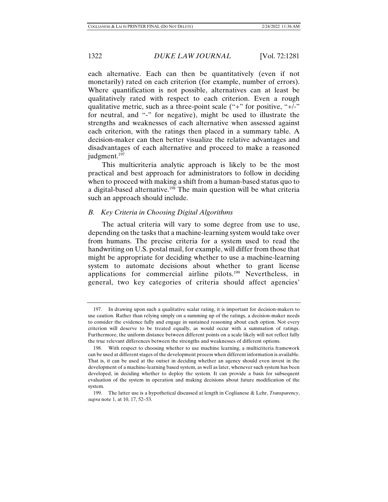each alternative. Each can then be quantitatively (even if not monetarily) rated on each criterion (for example, number of errors). Where quantification is not possible, alternatives can at least be qualitatively rated with respect to each criterion. Even a rough qualitative metric, such as a three-point scale  $("+"$  for positive, " $+/-"$ for neutral, and "-" for negative), might be used to illustrate the strengths and weaknesses of each alternative when assessed against each criterion, with the ratings then placed in a summary table. A decision-maker can then better visualize the relative advantages and disadvantages of each alternative and proceed to make a reasoned judgment.<sup>197</sup>

This multicriteria analytic approach is likely to be the most practical and best approach for administrators to follow in deciding when to proceed with making a shift from a human-based status quo to a digital-based alternative.198 The main question will be what criteria such an approach should include.

# *B. Key Criteria in Choosing Digital Algorithms*

The actual criteria will vary to some degree from use to use, depending on the tasks that a machine-learning system would take over from humans. The precise criteria for a system used to read the handwriting on U.S. postal mail, for example, will differ from those that might be appropriate for deciding whether to use a machine-learning system to automate decisions about whether to grant license applications for commercial airline pilots.<sup>199</sup> Nevertheless, in general, two key categories of criteria should affect agencies'

 <sup>197.</sup> In drawing upon such a qualitative scalar rating, it is important for decision-makers to use caution. Rather than relying simply on a summing up of the ratings, a decision-maker needs to consider the evidence fully and engage in sustained reasoning about each option. Not every criterion will deserve to be treated equally, as would occur with a summation of ratings. Furthermore, the uniform distance between different points on a scale likely will not reflect fully the true relevant differences between the strengths and weaknesses of different options.

 <sup>198.</sup> With respect to choosing whether to use machine learning, a multicriteria framework can be used at different stages of the development process when different information is available. That is, it can be used at the outset in deciding whether an agency should even invest in the development of a machine-learning based system, as well as later, whenever such system has been developed, in deciding whether to deploy the system. It can provide a basis for subsequent evaluation of the system in operation and making decisions about future modification of the system.

 <sup>199.</sup> The latter use is a hypothetical discussed at length in Coglianese & Lehr, *Transparency*, *supra* note 1, at 10, 17, 52–53.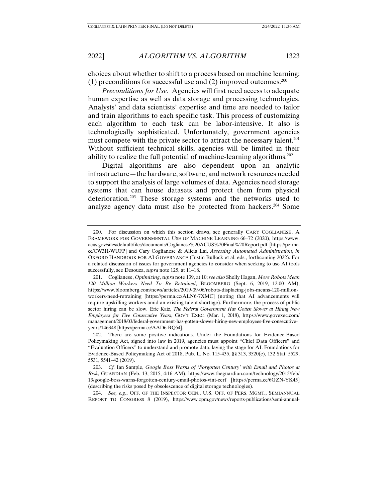choices about whether to shift to a process based on machine learning: (1) preconditions for successful use and (2) improved outcomes.<sup>200</sup>

*Preconditions for Use.* Agencies will first need access to adequate human expertise as well as data storage and processing technologies. Analysts' and data scientists' expertise and time are needed to tailor and train algorithms to each specific task. This process of customizing each algorithm to each task can be labor-intensive. It also is technologically sophisticated. Unfortunately, government agencies must compete with the private sector to attract the necessary talent.<sup>201</sup> Without sufficient technical skills, agencies will be limited in their ability to realize the full potential of machine-learning algorithms.202

Digital algorithms are also dependent upon an analytic infrastructure—the hardware, software, and network resources needed to support the analysis of large volumes of data. Agencies need storage systems that can house datasets and protect them from physical deterioration.203 These storage systems and the networks used to analyze agency data must also be protected from hackers.204 Some

 <sup>200.</sup> For discussion on which this section draws, see generally CARY COGLIANESE, A FRAMEWORK FOR GOVERNMENTAL USE OF MACHINE LEARNING 66–72 (2020), https://www. acus.gov/sites/default/files/documents/Coglianese%20ACUS%20Final%20Report.pdf [https://perma. cc/CW3H-WUFP] and Cary Coglianese & Alicia Lai, *Assessing Automated Administration*, *in* OXFORD HANDBOOK FOR AI GOVERNANCE (Justin Bullock et al. eds., forthcoming 2022). For a related discussion of issues for government agencies to consider when seeking to use AI tools successfully, see Desouza, *supra* note 125, at 11–18.

 <sup>201.</sup> Coglianese, *Optimizing*, *supra* note 139, at 10; *see also* Shelly Hagan, *More Robots Mean 120 Million Workers Need To Be Retrained*, BLOOMBERG (Sept. 6, 2019, 12:00 AM), https://www.bloomberg.com/news/articles/2019-09-06/robots-displacing-jobs-means-120-millionworkers-need-retraining [https://perma.cc/ALN6-7XMC] (noting that AI advancements will require upskilling workers amid an existing talent shortage). Furthermore, the process of public sector hiring can be slow. Eric Katz, *The Federal Government Has Gotten Slower at Hiring New Employees for Five Consecutive Years*, GOV'T EXEC. (Mar. 1, 2018), https://www.govexec.com/ management/2018/03/federal-government-has-gotten-slower-hiring-new-employees-five-consecutiveyears/146348 [https://perma.cc/AAD6-RQ54].

 <sup>202.</sup> There are some positive indications. Under the Foundations for Evidence-Based Policymaking Act, signed into law in 2019, agencies must appoint "Chief Data Officers" and "Evaluation Officers" to understand and promote data, laying the stage for AI. Foundations for Evidence-Based Policymaking Act of 2018, Pub. L. No. 115-435, §§ 313, 3520(c), 132 Stat. 5529, 5531, 5541–42 (2019).

 <sup>203.</sup> *Cf.* Ian Sample, *Google Boss Warns of 'Forgotten Century' with Email and Photos at Risk*, GUARDIAN (Feb. 13, 2015, 4:16 AM), https://www.theguardian.com/technology/2015/feb/ 13/google-boss-warns-forgotten-century-email-photos-vint-cerf [https://perma.cc/6GZN-YK45] (describing the risks posed by obsolescence of digital storage technologies).

 <sup>204.</sup> *See, e.g.*, OFF. OF THE INSPECTOR GEN., U.S. OFF. OF PERS. MGMT., SEMIANNUAL REPORT TO CONGRESS 8 (2019), https://www.opm.gov/news/reports-publications/semi-annual-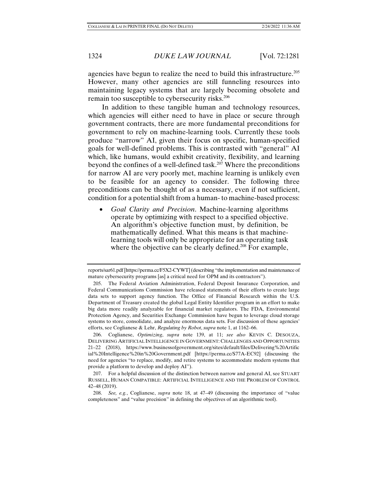agencies have begun to realize the need to build this infrastructure.205 However, many other agencies are still funneling resources into maintaining legacy systems that are largely becoming obsolete and remain too susceptible to cybersecurity risks.<sup>206</sup>

In addition to these tangible human and technology resources, which agencies will either need to have in place or secure through government contracts, there are more fundamental preconditions for government to rely on machine-learning tools. Currently these tools produce "narrow" AI, given their focus on specific, human-specified goals for well-defined problems. This is contrasted with "general" AI which, like humans, would exhibit creativity, flexibility, and learning beyond the confines of a well-defined task.207 Where the preconditions for narrow AI are very poorly met, machine learning is unlikely even to be feasible for an agency to consider. The following three preconditions can be thought of as a necessary, even if not sufficient, condition for a potential shift from a human- to machine-based process:

• *Goal Clarity and Precision*. Machine-learning algorithms operate by optimizing with respect to a specified objective. An algorithm's objective function must, by definition, be mathematically defined. What this means is that machinelearning tools will only be appropriate for an operating task where the objective can be clearly defined.<sup>208</sup> For example,

reports/sar61.pdf [https://perma.cc/F5X2-CYWT] (describing "the implementation and maintenance of mature cybersecurity programs [as] a critical need for OPM and its contractors").

 <sup>205.</sup> The Federal Aviation Administration, Federal Deposit Insurance Corporation, and Federal Communications Commission have released statements of their efforts to create large data sets to support agency function. The Office of Financial Research within the U.S. Department of Treasury created the global Legal Entity Identifier program in an effort to make big data more readily analyzable for financial market regulators. The FDA, Environmental Protection Agency, and Securities Exchange Commission have begun to leverage cloud storage systems to store, consolidate, and analyze enormous data sets. For discussion of these agencies' efforts, see Coglianese & Lehr, *Regulating by Robot*, *supra* note 1, at 1162–66.

 <sup>206.</sup> Coglianese, *Optimizing*, *supra* note 139, at 11; *see also* KEVIN C. DESOUZA, DELIVERING ARTIFICIAL INTELLIGENCE IN GOVERNMENT: CHALLENGES AND OPPORTUNITIES 21–22 (2018), https://www.businessofgovernment.org/sites/default/files/Delivering%20Artific ial%20Intelligence%20in%20Government.pdf [https://perma.cc/S77A-EC92] (discussing the need for agencies "to replace, modify, and retire systems to accommodate modern systems that provide a platform to develop and deploy AI").

 <sup>207.</sup> For a helpful discussion of the distinction between narrow and general AI, see STUART RUSSELL, HUMAN COMPATIBLE: ARTIFICIAL INTELLIGENCE AND THE PROBLEM OF CONTROL 42–48 (2019).

 <sup>208.</sup> *See, e.g.*, Coglianese, *supra* note 18, at 47–49 (discussing the importance of "value completeness" and "value precision" in defining the objectives of an algorithmic tool).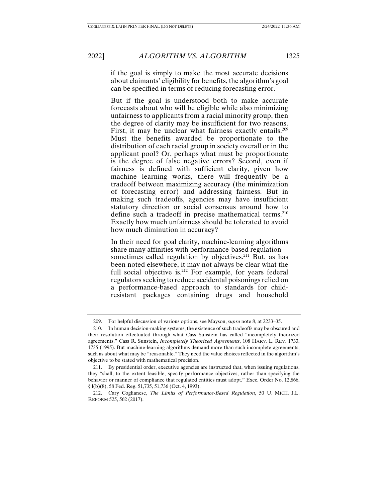if the goal is simply to make the most accurate decisions about claimants' eligibility for benefits, the algorithm's goal can be specified in terms of reducing forecasting error.

But if the goal is understood both to make accurate forecasts about who will be eligible while also minimizing unfairness to applicants from a racial minority group, then the degree of clarity may be insufficient for two reasons. First, it may be unclear what fairness exactly entails.<sup>209</sup> Must the benefits awarded be proportionate to the distribution of each racial group in society overall or in the applicant pool? Or, perhaps what must be proportionate is the degree of false negative errors? Second, even if fairness is defined with sufficient clarity, given how machine learning works, there will frequently be a tradeoff between maximizing accuracy (the minimization of forecasting error) and addressing fairness. But in making such tradeoffs, agencies may have insufficient statutory direction or social consensus around how to define such a tradeoff in precise mathematical terms.<sup>210</sup> Exactly how much unfairness should be tolerated to avoid how much diminution in accuracy?

In their need for goal clarity, machine-learning algorithms share many affinities with performance-based regulation sometimes called regulation by objectives.<sup>211</sup> But, as has been noted elsewhere, it may not always be clear what the full social objective is.<sup>212</sup> For example, for years federal regulators seeking to reduce accidental poisonings relied on a performance-based approach to standards for childresistant packages containing drugs and household

 <sup>209.</sup> For helpful discussion of various options, see Mayson, *supra* note 8, at 2233–35.

 <sup>210.</sup> In human decision-making systems, the existence of such tradeoffs may be obscured and their resolution effectuated through what Cass Sunstein has called "incompletely theorized agreements." Cass R. Sunstein, *Incompletely Theorized Agreements*, 108 HARV. L. REV. 1733, 1735 (1995). But machine-learning algorithms demand more than such incomplete agreements, such as about what may be "reasonable." They need the value choices reflected in the algorithm's objective to be stated with mathematical precision.

 <sup>211.</sup> By presidential order, executive agencies are instructed that, when issuing regulations, they "shall, to the extent feasible, specify performance objectives, rather than specifying the behavior or manner of compliance that regulated entities must adopt." Exec. Order No. 12,866, § l(b)(8), 58 Fed. Reg. 51,735, 51,736 (Oct. 4, 1993).

 <sup>212.</sup> Cary Coglianese, *The Limits of Performance-Based Regulation*, 50 U. MICH. J.L. REFORM 525, 562 (2017).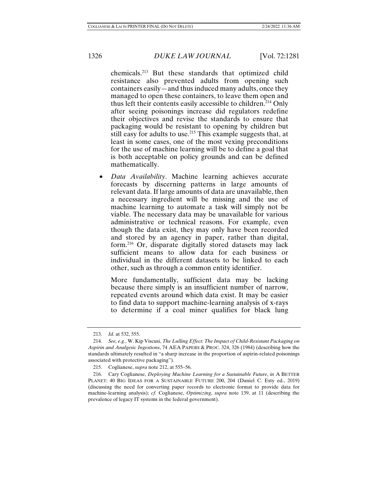chemicals.213 But these standards that optimized child resistance also prevented adults from opening such containers easily—and thus induced many adults, once they managed to open these containers, to leave them open and thus left their contents easily accessible to children.214 Only after seeing poisonings increase did regulators redefine their objectives and revise the standards to ensure that packaging would be resistant to opening by children but still easy for adults to use.<sup>215</sup> This example suggests that, at least in some cases, one of the most vexing preconditions for the use of machine learning will be to define a goal that is both acceptable on policy grounds and can be defined mathematically.

• *Data Availability*. Machine learning achieves accurate forecasts by discerning patterns in large amounts of relevant data. If large amounts of data are unavailable, then a necessary ingredient will be missing and the use of machine learning to automate a task will simply not be viable. The necessary data may be unavailable for various administrative or technical reasons. For example, even though the data exist, they may only have been recorded and stored by an agency in paper, rather than digital, form.216 Or, disparate digitally stored datasets may lack sufficient means to allow data for each business or individual in the different datasets to be linked to each other, such as through a common entity identifier.

More fundamentally, sufficient data may be lacking because there simply is an insufficient number of narrow, repeated events around which data exist. It may be easier to find data to support machine-learning analysis of x-rays to determine if a coal miner qualifies for black lung

 <sup>213.</sup> *Id.* at 532, 555.

 <sup>214.</sup> *See, e.g.*, W. Kip Viscusi, *The Lulling Effect: The Impact of Child-Resistant Packaging on Aspirin and Analgesic Ingestions*, 74 AEA PAPERS & PROC. 324, 326 (1984) (describing how the standards ultimately resulted in "a sharp increase in the proportion of aspirin-related poisonings associated with protective packaging").

 <sup>215.</sup> Coglianese, *supra* note 212, at 555–56.

 <sup>216.</sup> Cary Coglianese, *Deploying Machine Learning for a Sustainable Future*, *in* A BETTER PLANET: 40 BIG IDEAS FOR A SUSTAINABLE FUTURE 200, 204 (Daniel C. Esty ed., 2019) (discussing the need for converting paper records to electronic format to provide data for machine-learning analysis); *cf.* Coglianese, *Optimizing*, *supra* note 139, at 11 (describing the prevalence of legacy IT systems in the federal government).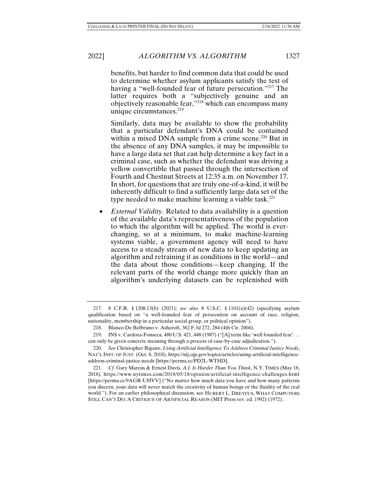benefits, but harder to find common data that could be used to determine whether asylum applicants satisfy the test of having a "well-founded fear of future persecution."<sup>217</sup> The latter requires both a "subjectively genuine and an objectively reasonable fear,"218 which can encompass many unique circumstances. $219$ 

Similarly, data may be available to show the probability that a particular defendant's DNA could be contained within a mixed DNA sample from a crime scene.<sup>220</sup> But in the absence of any DNA samples, it may be impossible to have a large data set that can help determine a key fact in a criminal case, such as whether the defendant was driving a yellow convertible that passed through the intersection of Fourth and Chestnut Streets at 12:35 a.m. on November 17. In short, for questions that are truly one-of-a-kind, it will be inherently difficult to find a sufficiently large data set of the type needed to make machine learning a viable task.<sup>221</sup>

• *External Validity*. Related to data availability is a question of the available data's representativeness of the population to which the algorithm will be applied. The world is everchanging, so at a minimum, to make machine-learning systems viable, a government agency will need to have access to a steady stream of new data to keep updating an algorithm and retraining it as conditions in the world—and the data about those conditions—keep changing. If the relevant parts of the world change more quickly than an algorithm's underlying datasets can be replenished with

 <sup>217. 8</sup> C.F.R. § 1208.13(b) (2021); *see also* 8 U.S.C. § 1101(a)(42) (specifying asylum qualification based on "a well-founded fear of persecution on account of race, religion, nationality, membership in a particular social group, or political opinion").

 <sup>218.</sup> Blanco De Belbruno v. Ashcroft, 362 F.3d 272, 284 (4th Cir. 2004).

 <sup>219.</sup> INS v. Cardoza-Fonseca, 480 U.S. 421, 448 (1987) ("[A] term like 'well founded fear'. . . can only be given concrete meaning through a process of case-by-case adjudication.").

 <sup>220.</sup> *See* Christopher Rigano, *Using Artificial Intelligence To Address Criminal Justice Needs*, NAT'L INST. OF JUST. (Oct. 8, 2018), https://nij.ojp.gov/topics/articles/using-artificial-intelligenceaddress-criminal-justice-needs [https://perma.cc/PD2L-WTHD].

 <sup>221.</sup> *Cf.* Gary Marcus & Ernest Davis, *A.I. Is Harder Than You Think*, N.Y. TIMES (May 18, 2018), https://www.nytimes.com/2018/05/18/opinion/artificial-intelligence-challenges.html [https://perma.cc/9AGR-UHVV] ("No matter how much data you have and how many patterns you discern, your data will never match the creativity of human beings or the fluidity of the real world."). For an earlier philosophical discussion, see HUBERT L. DREYFUS, WHAT COMPUTERS STILL CAN'T DO: A CRITIQUE OF ARTIFICIAL REASON (MIT Press rev. ed. 1992) (1972).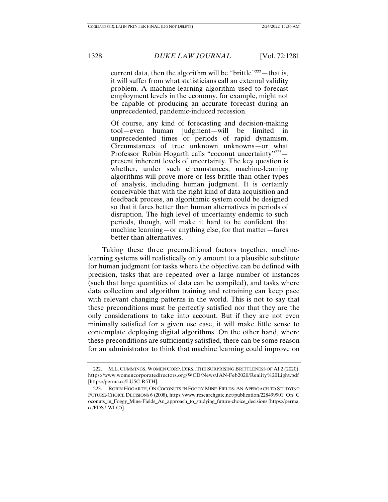current data, then the algorithm will be "brittle"<sup>222</sup>—that is, it will suffer from what statisticians call an external validity problem. A machine-learning algorithm used to forecast employment levels in the economy, for example, might not be capable of producing an accurate forecast during an unprecedented, pandemic-induced recession.

Of course, any kind of forecasting and decision-making tool—even human judgment—will be limited in unprecedented times or periods of rapid dynamism. Circumstances of true unknown unknowns—or what Professor Robin Hogarth calls "coconut uncertainty"223 present inherent levels of uncertainty. The key question is whether, under such circumstances, machine-learning algorithms will prove more or less brittle than other types of analysis, including human judgment. It is certainly conceivable that with the right kind of data acquisition and feedback process, an algorithmic system could be designed so that it fares better than human alternatives in periods of disruption. The high level of uncertainty endemic to such periods, though, will make it hard to be confident that machine learning—or anything else, for that matter—fares better than alternatives.

Taking these three preconditional factors together, machinelearning systems will realistically only amount to a plausible substitute for human judgment for tasks where the objective can be defined with precision, tasks that are repeated over a large number of instances (such that large quantities of data can be compiled), and tasks where data collection and algorithm training and retraining can keep pace with relevant changing patterns in the world. This is not to say that these preconditions must be perfectly satisfied nor that they are the only considerations to take into account. But if they are not even minimally satisfied for a given use case, it will make little sense to contemplate deploying digital algorithms. On the other hand, where these preconditions are sufficiently satisfied, there can be some reason for an administrator to think that machine learning could improve on

 <sup>222.</sup> M.L. CUMMINGS, WOMEN CORP. DIRS., THE SURPRISING BRITTLENESS OF AI 2 (2020), https://www.womencorporatedirectors.org/WCD/News/JAN-Feb2020/Reality%20Light.pdf [https://perma.cc/LU5C-R5TH].

 <sup>223.</sup> ROBIN HOGARTH, ON COCONUTS IN FOGGY MINE-FIELDS: AN APPROACH TO STUDYING FUTURE-CHOICE DECISIONS 6 (2008), https://www.researchgate.net/publication/228499901\_On\_C oconuts\_in\_Foggy\_Mine-Fields\_An\_approach\_to\_studying\_future-choice\_decisions [https://perma. cc/FDS7-WLC5].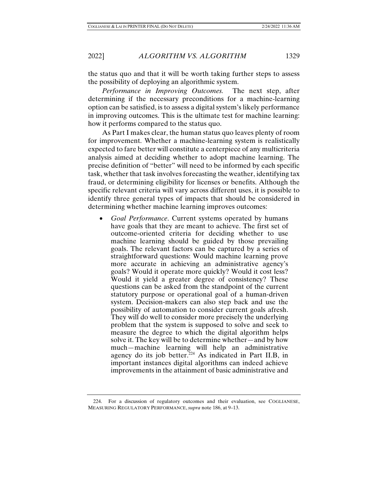the status quo and that it will be worth taking further steps to assess the possibility of deploying an algorithmic system.

*Performance in Improving Outcomes.* The next step, after determining if the necessary preconditions for a machine-learning option can be satisfied, is to assess a digital system's likely performance in improving outcomes. This is the ultimate test for machine learning: how it performs compared to the status quo.

As Part I makes clear, the human status quo leaves plenty of room for improvement. Whether a machine-learning system is realistically expected to fare better will constitute a centerpiece of any multicriteria analysis aimed at deciding whether to adopt machine learning. The precise definition of "better" will need to be informed by each specific task, whether that task involves forecasting the weather, identifying tax fraud, or determining eligibility for licenses or benefits. Although the specific relevant criteria will vary across different uses, it is possible to identify three general types of impacts that should be considered in determining whether machine learning improves outcomes:

• *Goal Performance*. Current systems operated by humans have goals that they are meant to achieve. The first set of outcome-oriented criteria for deciding whether to use machine learning should be guided by those prevailing goals. The relevant factors can be captured by a series of straightforward questions: Would machine learning prove more accurate in achieving an administrative agency's goals? Would it operate more quickly? Would it cost less? Would it yield a greater degree of consistency? These questions can be asked from the standpoint of the current statutory purpose or operational goal of a human-driven system. Decision-makers can also step back and use the possibility of automation to consider current goals afresh. They will do well to consider more precisely the underlying problem that the system is supposed to solve and seek to measure the degree to which the digital algorithm helps solve it. The key will be to determine whether—and by how much—machine learning will help an administrative agency do its job better. $224$  As indicated in Part II.B, in important instances digital algorithms can indeed achieve improvements in the attainment of basic administrative and

 <sup>224.</sup> For a discussion of regulatory outcomes and their evaluation, see COGLIANESE, MEASURING REGULATORY PERFORMANCE, *supra* note 186, at 9–13.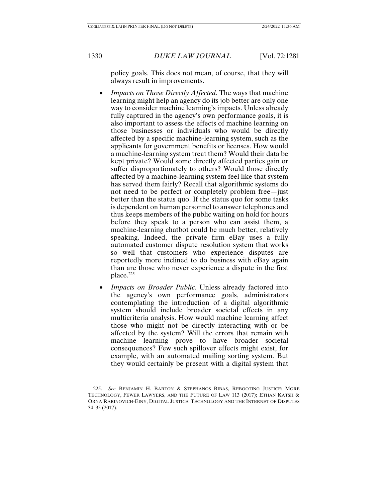policy goals. This does not mean, of course, that they will always result in improvements.

- *Impacts on Those Directly Affected*. The ways that machine learning might help an agency do its job better are only one way to consider machine learning's impacts. Unless already fully captured in the agency's own performance goals, it is also important to assess the effects of machine learning on those businesses or individuals who would be directly affected by a specific machine-learning system, such as the applicants for government benefits or licenses. How would a machine-learning system treat them? Would their data be kept private? Would some directly affected parties gain or suffer disproportionately to others? Would those directly affected by a machine-learning system feel like that system has served them fairly? Recall that algorithmic systems do not need to be perfect or completely problem free—just better than the status quo. If the status quo for some tasks is dependent on human personnel to answer telephones and thus keeps members of the public waiting on hold for hours before they speak to a person who can assist them, a machine-learning chatbot could be much better, relatively speaking. Indeed, the private firm eBay uses a fully automated customer dispute resolution system that works so well that customers who experience disputes are reportedly more inclined to do business with eBay again than are those who never experience a dispute in the first place.225
- *Impacts on Broader Public.* Unless already factored into the agency's own performance goals, administrators contemplating the introduction of a digital algorithmic system should include broader societal effects in any multicriteria analysis. How would machine learning affect those who might not be directly interacting with or be affected by the system? Will the errors that remain with machine learning prove to have broader societal consequences? Few such spillover effects might exist, for example, with an automated mailing sorting system. But they would certainly be present with a digital system that

 <sup>225.</sup> *See* BENJAMIN H. BARTON & STEPHANOS BIBAS, REBOOTING JUSTICE: MORE TECHNOLOGY, FEWER LAWYERS, AND THE FUTURE OF LAW 113 (2017); ETHAN KATSH & ORNA RABINOVICH-EINY, DIGITAL JUSTICE: TECHNOLOGY AND THE INTERNET OF DISPUTES 34–35 (2017).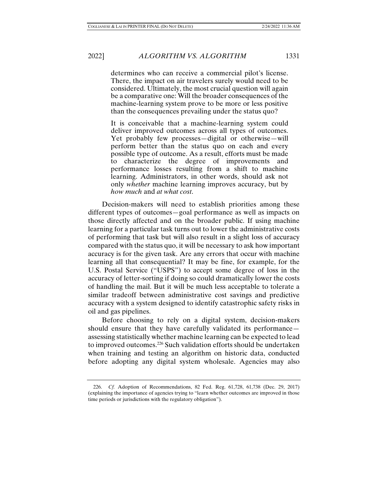determines who can receive a commercial pilot's license. There, the impact on air travelers surely would need to be considered. Ultimately, the most crucial question will again be a comparative one: Will the broader consequences of the machine-learning system prove to be more or less positive than the consequences prevailing under the status quo?

It is conceivable that a machine-learning system could deliver improved outcomes across all types of outcomes. Yet probably few processes—digital or otherwise—will perform better than the status quo on each and every possible type of outcome. As a result, efforts must be made to characterize the degree of improvements and performance losses resulting from a shift to machine learning. Administrators, in other words, should ask not only *whether* machine learning improves accuracy, but by *how much* and *at what cost*.

Decision-makers will need to establish priorities among these different types of outcomes—goal performance as well as impacts on those directly affected and on the broader public. If using machine learning for a particular task turns out to lower the administrative costs of performing that task but will also result in a slight loss of accuracy compared with the status quo, it will be necessary to ask how important accuracy is for the given task. Are any errors that occur with machine learning all that consequential? It may be fine, for example, for the U.S. Postal Service ("USPS") to accept some degree of loss in the accuracy of letter-sorting if doing so could dramatically lower the costs of handling the mail. But it will be much less acceptable to tolerate a similar tradeoff between administrative cost savings and predictive accuracy with a system designed to identify catastrophic safety risks in oil and gas pipelines.

Before choosing to rely on a digital system, decision-makers should ensure that they have carefully validated its performance assessing statistically whether machine learning can be expected to lead to improved outcomes.226 Such validation efforts should be undertaken when training and testing an algorithm on historic data, conducted before adopting any digital system wholesale. Agencies may also

 <sup>226.</sup> *Cf.* Adoption of Recommendations, 82 Fed. Reg. 61,728, 61,738 (Dec. 29, 2017) (explaining the importance of agencies trying to "learn whether outcomes are improved in those time periods or jurisdictions with the regulatory obligation").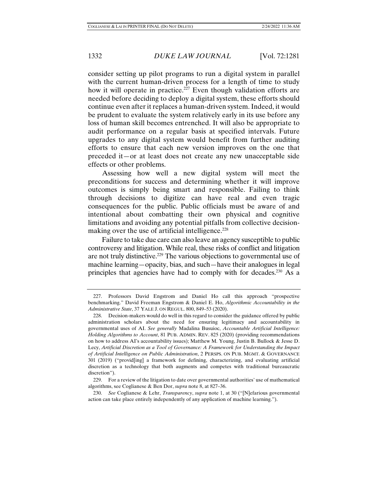consider setting up pilot programs to run a digital system in parallel with the current human-driven process for a length of time to study how it will operate in practice.<sup>227</sup> Even though validation efforts are needed before deciding to deploy a digital system, these efforts should continue even after it replaces a human-driven system. Indeed, it would be prudent to evaluate the system relatively early in its use before any loss of human skill becomes entrenched. It will also be appropriate to audit performance on a regular basis at specified intervals. Future upgrades to any digital system would benefit from further auditing efforts to ensure that each new version improves on the one that preceded it—or at least does not create any new unacceptable side effects or other problems.

Assessing how well a new digital system will meet the preconditions for success and determining whether it will improve outcomes is simply being smart and responsible. Failing to think through decisions to digitize can have real and even tragic consequences for the public. Public officials must be aware of and intentional about combatting their own physical and cognitive limitations and avoiding any potential pitfalls from collective decisionmaking over the use of artificial intelligence.<sup>228</sup>

Failure to take due care can also leave an agency susceptible to public controversy and litigation. While real, these risks of conflict and litigation are not truly distinctive.<sup>229</sup> The various objections to governmental use of machine learning—opacity, bias, and such—have their analogues in legal principles that agencies have had to comply with for decades.<sup>230</sup> As a

 <sup>227.</sup> Professors David Engstrom and Daniel Ho call this approach "prospective benchmarking." David Freeman Engstrom & Daniel E. Ho, *Algorithmic Accountability in the Administrative State*, 37 YALE J. ON REGUL. 800, 849–53 (2020).

 <sup>228.</sup> Decision-makers would do well in this regard to consider the guidance offered by public administration scholars about the need for ensuring legitimacy and accountability in governmental uses of AI. *See generally* Madalina Busuioc, *Accountable Artificial Intelligence: Holding Algorithms to Account*, 81 PUB. ADMIN. REV. 825 (2020) (providing recommendations on how to address AI's accountability issues); Matthew M. Young, Justin B. Bullock & Jesse D. Lecy, *Artificial Discretion as a Tool of Governance: A Framework for Understanding the Impact of Artificial Intelligence on Public Administration*, 2 PERSPS. ON PUB. MGMT. & GOVERNANCE 301 (2019) ("provid[ing] a framework for defining, characterizing, and evaluating artificial discretion as a technology that both augments and competes with traditional bureaucratic discretion").

 <sup>229.</sup> For a review of the litigation to date over governmental authorities' use of mathematical algorithms, see Coglianese & Ben Dor, *supra* note 8, at 827–36.

 <sup>230.</sup> *See* Coglianese & Lehr, *Transparency*, *supra* note 1, at 30 ("[N]efarious governmental action can take place entirely independently of any application of machine learning.").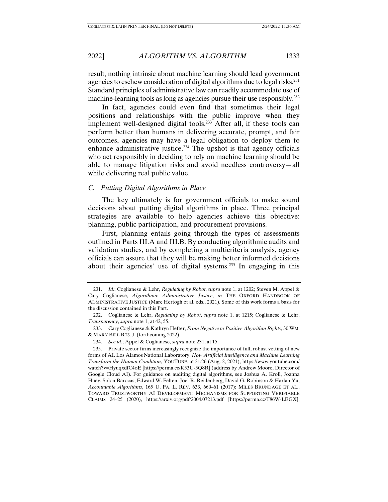result, nothing intrinsic about machine learning should lead government agencies to eschew consideration of digital algorithms due to legal risks.<sup>231</sup> Standard principles of administrative law can readily accommodate use of machine-learning tools as long as agencies pursue their use responsibly.<sup>232</sup>

In fact, agencies could even find that sometimes their legal positions and relationships with the public improve when they implement well-designed digital tools.<sup>233</sup> After all, if these tools can perform better than humans in delivering accurate, prompt, and fair outcomes, agencies may have a legal obligation to deploy them to enhance administrative justice.<sup>234</sup> The upshot is that agency officials who act responsibly in deciding to rely on machine learning should be able to manage litigation risks and avoid needless controversy—all while delivering real public value.

# *C. Putting Digital Algorithms in Place*

The key ultimately is for government officials to make sound decisions about putting digital algorithms in place. Three principal strategies are available to help agencies achieve this objective: planning, public participation, and procurement provisions.

First, planning entails going through the types of assessments outlined in Parts III.A and III.B. By conducting algorithmic audits and validation studies, and by completing a multicriteria analysis, agency officials can assure that they will be making better informed decisions about their agencies' use of digital systems.235 In engaging in this

 <sup>231.</sup> *Id.*; Coglianese & Lehr, *Regulating by Robot*, *supra* note 1, at 1202; Steven M. Appel & Cary Coglianese, *Algorithmic Administrative Justice*, *in* THE OXFORD HANDBOOK OF ADMINISTRATIVE JUSTICE (Marc Hertogh et al. eds., 2021). Some of this work forms a basis for the discussion contained in this Part.

 <sup>232.</sup> Coglianese & Lehr, *Regulating by Robot*, *supra* note 1, at 1215; Coglianese & Lehr, *Transparency*, *supra* note 1, at 42, 55.

 <sup>233.</sup> Cary Coglianese & Kathryn Hefter, *From Negative to Positive Algorithm Rights*, 30 WM. & MARY BILL RTS. J. (forthcoming 2022).

 <sup>234.</sup> *See id.*; Appel & Coglianese, *supra* note 231, at 15.

 <sup>235.</sup> Private sector firms increasingly recognize the importance of full, robust vetting of new forms of AI. Los Alamos National Laboratory, *How Artificial Intelligence and Machine Learning Transform the Human Condition*, YOUTUBE, at 31:26 (Aug. 2, 2021), https://www.youtube.com/ watch?v=HyuqxdfC4oE [https://perma.cc/K53U-5Q8R] (address by Andrew Moore, Director of Google Cloud AI). For guidance on auditing digital algorithms, see Joshua A. Kroll, Joanna Huey, Solon Barocas, Edward W. Felten, Joel R. Reidenberg, David G. Robinson & Harlan Yu, *Accountable Algorithms*, 165 U. PA. L. REV. 633, 660–61 (2017); MILES BRUNDAGE ET AL., TOWARD TRUSTWORTHY AI DEVELOPMENT: MECHANISMS FOR SUPPORTING VERIFIABLE CLAIMS 24–25 (2020), https://arxiv.org/pdf/2004.07213.pdf [https://perma.cc/T86W-LEGX];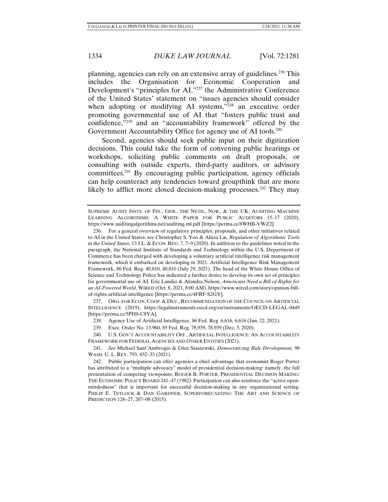planning, agencies can rely on an extensive array of guidelines.236 This includes the Organisation for Economic Cooperation and Development's "principles for AI,"237 the Administrative Conference of the United States' statement on "issues agencies should consider when adopting or modifying AI systems,"<sup>238</sup> an executive order promoting governmental use of AI that "fosters public trust and confidence,"239 and an "accountability framework" offered by the Government Accountability Office for agency use of AI tools.<sup>240</sup>

Second, agencies should seek public input on their digitization decisions. This could take the form of convening public hearings or workshops, soliciting public comments on draft proposals, or consulting with outside experts, third-party auditors, or advisory committees.241 By encouraging public participation, agency officials can help counteract any tendencies toward groupthink that are more likely to afflict more closed decision-making processes.<sup>242</sup> They may

 237. ORG. FOR ECON. COOP. & DEV., RECOMMENDATION OF THE COUNCIL ON ARTIFICIAL INTELLIGENCE (2019), https://legalinstruments.oecd.org/en/instruments/OECD-LEGAL-0449 [https://perma.cc/5PH8-C8YA].

238. Agency Use of Artificial Intelligence, 86 Fed. Reg. 6,616, 6,616 (Jan. 22, 2021).

239. Exec. Order No. 13,960, 85 Fed. Reg. 78,939, 78,939 (Dec. 3, 2020).

 240. U.S. GOV'T ACCOUNTABILITY OFF., ARTIFICIAL INTELLIGENCE: AN ACCOUNTABILITY FRAMEWORK FOR FEDERAL AGENCIES AND OTHER ENTITIES (2021).

 241. *See* Michael Sant'Ambrogio & Glen Staszewski, *Democratizing Rule Development*, 98 WASH. U. L. REV. 793, 832–33 (2021).

 242. Public participation can offer agencies a chief advantage that economist Roger Porter has attributed to a "multiple advocacy" model of presidential decision-making: namely, the full presentation of competing viewpoints. ROGER B. PORTER, PRESIDENTIAL DECISION MAKING: THE ECONOMIC POLICY BOARD 241–47 (1982). Participation can also reinforce the "active openmindedness" that is important for successful decision-making in any organizational setting. PHILIP E. TETLOCK & DAN GARDNER, SUPERFORECASTING: THE ART AND SCIENCE OF PREDICTION 126–27, 207–08 (2015).

SUPREME AUDIT INSTS. OF FIN., GER., THE NETH., NOR., & THE UK, AUDITING MACHINE LEARNING ALGORITHMS: A WHITE PAPER FOR PUBLIC AUDITORS 15–17 (2020), https://www.auditingalgorithms.net/auditing-ml.pdf [https://perma.cc/8WHB-VWZ2].

 <sup>236.</sup> For a general overview of regulatory principles, proposals, and other initiatives related to AI in the United States, see Christopher S. Yoo & Alicia Lai, *Regulation of Algorithmic Tools in the United States*, 13 J.L. & ECON. REG. 7, 7–9 (2020). In addition to the guidelines noted in the paragraph, the National Institute of Standards and Technology within the U.S. Department of Commerce has been charged with developing a voluntary artificial intelligence risk management framework, which it embarked on developing in 2021. Artificial Intelligence Risk Management Framework, 86 Fed. Reg. 40,810, 40,810 (July 29, 2021). The head of the White House Office of Science and Technology Policy has indicated a further desire to develop its own set of principles for governmental use of AI. Eric Lander & Alondra Nelson, *Americans Need a Bill of Rights for an AI-Powered World*, WIRED (Oct. 8, 2021, 8:00 AM), https://www.wired.com/story/opinion-billof-rights-artificial-intelligence [https://perma.cc/4FRF-S2GY].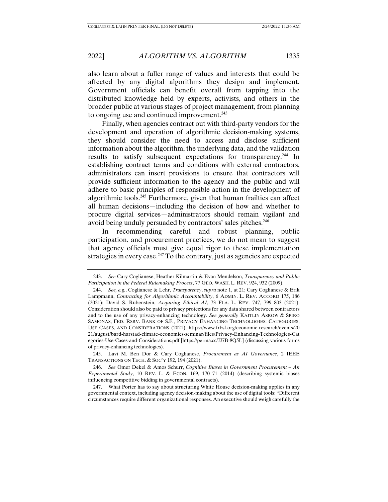also learn about a fuller range of values and interests that could be affected by any digital algorithms they design and implement. Government officials can benefit overall from tapping into the distributed knowledge held by experts, activists, and others in the broader public at various stages of project management, from planning to ongoing use and continued improvement.<sup>243</sup>

Finally, when agencies contract out with third-party vendors for the development and operation of algorithmic decision-making systems, they should consider the need to access and disclose sufficient information about the algorithm, the underlying data, and the validation results to satisfy subsequent expectations for transparency.244 In establishing contract terms and conditions with external contractors, administrators can insert provisions to ensure that contractors will provide sufficient information to the agency and the public and will adhere to basic principles of responsible action in the development of algorithmic tools.245 Furthermore, given that human frailties can affect all human decisions—including the decision of how and whether to procure digital services—administrators should remain vigilant and avoid being unduly persuaded by contractors' sales pitches.<sup>246</sup>

In recommending careful and robust planning, public participation, and procurement practices, we do not mean to suggest that agency officials must give equal rigor to these implementation strategies in every case.<sup>247</sup> To the contrary, just as agencies are expected

 245. Lavi M. Ben Dor & Cary Coglianese, *Procurement as AI Governance*, 2 IEEE TRANSACTIONS ON TECH. & SOC'Y 192, 194 (2021).

 <sup>243.</sup> *See* Cary Coglianese, Heather Kilmartin & Evan Mendelson, *Transparency and Public Participation in the Federal Rulemaking Process*, 77 GEO. WASH. L. REV. 924, 932 (2009).

 <sup>244.</sup> *See, e.g.*, Coglianese & Lehr, *Transparency*, *supra* note 1, at 21; Cary Coglianese & Erik Lampmann, *Contracting for Algorithmic Accountability*, 6 ADMIN. L. REV. ACCORD 175, 186 (2021); David S. Rubenstein, *Acquiring Ethical AI*, 73 FLA. L. REV. 747, 799–803 (2021). Consideration should also be paid to privacy protections for any data shared between contractors and to the use of any privacy-enhancing technology. *See generally* KAITLIN ASROW & SPIRO SAMONAS, FED. RSRV. BANK OF S.F., PRIVACY ENHANCING TECHNOLOGIES: CATEGORIES, USE CASES, AND CONSIDERATIONS (2021), https://www.frbsf.org/economic-research/events/20 21/august/bard-harstad-climate-economics-seminar/files/Privacy-Enhancing-Technologies-Cat egories-Use-Cases-and-Considerations.pdf [https://perma.cc/JJ7B-8Q5L] (discussing various forms of privacy-enhancing technologies).

 <sup>246.</sup> *See* Omer Dekel & Amos Schurr, *Cognitive Biases in Government Procurement – An Experimental Study*, 10 REV. L. & ECON. 169, 170–71 (2014) (describing systemic biases influencing competitive bidding in governmental contracts).

 <sup>247.</sup> What Porter has to say about structuring White House decision-making applies in any governmental context, including agency decision-making about the use of digital tools: "Different circumstances require different organizational responses. An executive should weigh carefully the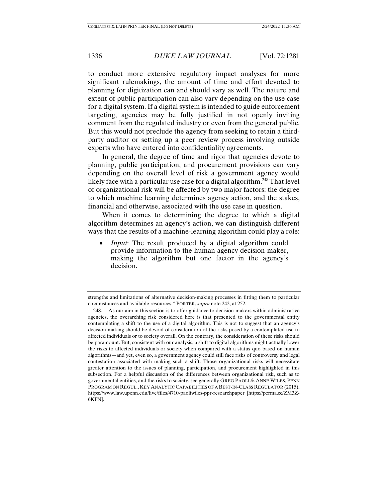to conduct more extensive regulatory impact analyses for more significant rulemakings, the amount of time and effort devoted to planning for digitization can and should vary as well. The nature and extent of public participation can also vary depending on the use case for a digital system. If a digital system is intended to guide enforcement targeting, agencies may be fully justified in not openly inviting comment from the regulated industry or even from the general public. But this would not preclude the agency from seeking to retain a thirdparty auditor or setting up a peer review process involving outside experts who have entered into confidentiality agreements.

In general, the degree of time and rigor that agencies devote to planning, public participation, and procurement provisions can vary depending on the overall level of risk a government agency would likely face with a particular use case for a digital algorithm.<sup>248</sup> That level of organizational risk will be affected by two major factors: the degree to which machine learning determines agency action, and the stakes, financial and otherwise, associated with the use case in question.

When it comes to determining the degree to which a digital algorithm determines an agency's action, we can distinguish different ways that the results of a machine-learning algorithm could play a role:

*Input*: The result produced by a digital algorithm could provide information to the human agency decision-maker, making the algorithm but one factor in the agency's decision.

strengths and limitations of alternative decision-making processes in fitting them to particular circumstances and available resources." PORTER, *supra* note 242, at 252.

 <sup>248.</sup> As our aim in this section is to offer guidance to decision-makers within administrative agencies, the overarching risk considered here is that presented to the governmental entity contemplating a shift to the use of a digital algorithm. This is not to suggest that an agency's decision-making should be devoid of consideration of the risks posed by a contemplated use to affected individuals or to society overall. On the contrary, the consideration of these risks should be paramount. But, consistent with our analysis, a shift to digital algorithms might actually lower the risks to affected individuals or society when compared with a status quo based on human algorithms—and yet, even so, a government agency could still face risks of controversy and legal contestation associated with making such a shift. Those organizational risks will necessitate greater attention to the issues of planning, participation, and procurement highlighted in this subsection. For a helpful discussion of the differences between organizational risk, such as to governmental entities, and the risks to society, see generally GREG PAOLI & ANNE WILES, PENN PROGRAM ON REGUL., KEY ANALYTIC CAPABILITIES OF A BEST-IN-CLASS REGULATOR (2015), https://www.law.upenn.edu/live/files/4710-paoliwiles-ppr-researchpaper [https://perma.cc/ZM3Z-6KPN].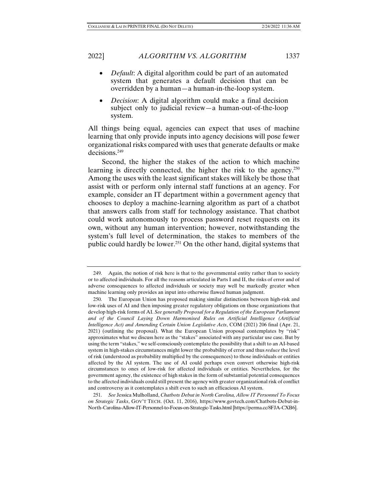- *Default*: A digital algorithm could be part of an automated system that generates a default decision that can be overridden by a human—a human-in-the-loop system.
- *Decision*: A digital algorithm could make a final decision subject only to judicial review—a human-out-of-the-loop system.

All things being equal, agencies can expect that uses of machine learning that only provide inputs into agency decisions will pose fewer organizational risks compared with uses that generate defaults or make decisions.249

Second, the higher the stakes of the action to which machine learning is directly connected, the higher the risk to the agency.<sup>250</sup> Among the uses with the least significant stakes will likely be those that assist with or perform only internal staff functions at an agency. For example, consider an IT department within a government agency that chooses to deploy a machine-learning algorithm as part of a chatbot that answers calls from staff for technology assistance. That chatbot could work autonomously to process password reset requests on its own, without any human intervention; however, notwithstanding the system's full level of determination, the stakes to members of the public could hardly be lower.<sup>251</sup> On the other hand, digital systems that

 <sup>249.</sup> Again, the notion of risk here is that to the governmental entity rather than to society or to affected individuals. For all the reasons articulated in Parts I and II, the risks of error and of adverse consequences to affected individuals or society may well be markedly greater when machine learning only provides an input into otherwise flawed human judgment.

 <sup>250.</sup> The European Union has proposed making similar distinctions between high-risk and low-risk uses of AI and then imposing greater regulatory obligations on those organizations that develop high-risk forms of AI. *See generally Proposal for a Regulation of the European Parliament and of the Council Laying Down Harmonised Rules on Artificial Intelligence (Artificial Intelligence Act) and Amending Certain Union Legislative Acts*, COM (2021) 206 final (Apr. 21, 2021) (outlining the proposal). What the European Union proposal contemplates by "risk" approximates what we discuss here as the "stakes" associated with any particular use case. But by using the term "stakes," we self-consciously contemplate the possibility that a shift to an AI-based system in high-stakes circumstances might lower the probability of error and thus *reduce* the level of risk (understood as probability multiplied by the consequences) to those individuals or entities affected by the AI system. The use of AI could perhaps even convert otherwise high-risk circumstances to ones of low-risk for affected individuals or entities. Nevertheless, for the government agency, the existence of high stakes in the form of substantial potential consequences to the affected individuals could still present the agency with greater organizational risk of conflict and controversy as it contemplates a shift even to such an efficacious AI system.

 <sup>251.</sup> *See* Jessica Mulholland, *Chatbots Debut in North Carolina, Allow IT Personnel To Focus on Strategic Tasks*, GOV'T TECH. (Oct. 11, 2016), https://www.govtech.com/Chatbots-Debut-in-North-Carolina-Allow-IT-Personnel-to-Focus-on-Strategic-Tasks.html [https://perma.cc/8FJA-CXB6].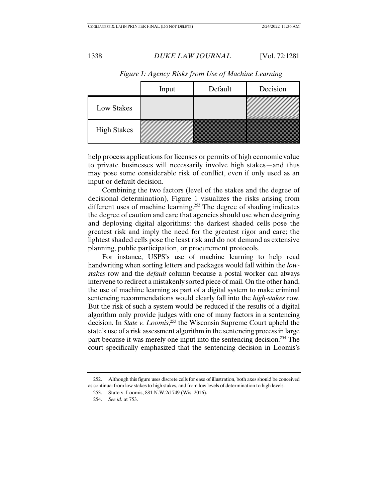|                    | Input | Default | Decision |
|--------------------|-------|---------|----------|
| Low Stakes         |       |         |          |
| <b>High Stakes</b> |       |         |          |

*Figure 1: Agency Risks from Use of Machine Learning* 

help process applications for licenses or permits of high economic value to private businesses will necessarily involve high stakes—and thus may pose some considerable risk of conflict, even if only used as an input or default decision.

Combining the two factors (level of the stakes and the degree of decisional determination), Figure 1 visualizes the risks arising from different uses of machine learning.<sup>252</sup> The degree of shading indicates the degree of caution and care that agencies should use when designing and deploying digital algorithms: the darkest shaded cells pose the greatest risk and imply the need for the greatest rigor and care; the lightest shaded cells pose the least risk and do not demand as extensive planning, public participation, or procurement protocols.

For instance, USPS's use of machine learning to help read handwriting when sorting letters and packages would fall within the *lowstakes* row and the *default* column because a postal worker can always intervene to redirect a mistakenly sorted piece of mail. On the other hand, the use of machine learning as part of a digital system to make criminal sentencing recommendations would clearly fall into the *high-stakes* row. But the risk of such a system would be reduced if the results of a digital algorithm only provide judges with one of many factors in a sentencing decision. In *State v. Loomis*, 253 the Wisconsin Supreme Court upheld the state's use of a risk assessment algorithm in the sentencing process in large part because it was merely one input into the sentencing decision.254 The court specifically emphasized that the sentencing decision in Loomis's

 252. Although this figure uses discrete cells for ease of illustration, both axes should be conceived as continua: from low stakes to high stakes, and from low levels of determination to high levels.

 <sup>253.</sup> State v. Loomis, 881 N.W.2d 749 (Wis. 2016).

 <sup>254.</sup> *See id.* at 753.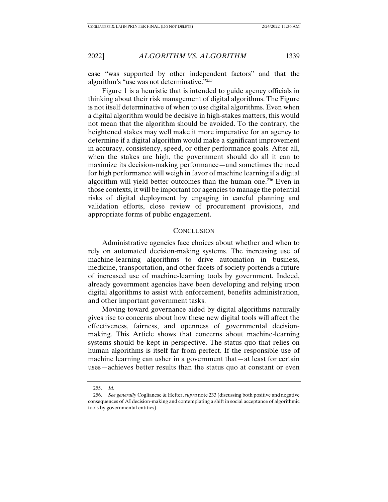case "was supported by other independent factors" and that the algorithm's "use was not determinative."255

Figure 1 is a heuristic that is intended to guide agency officials in thinking about their risk management of digital algorithms. The Figure is not itself determinative of when to use digital algorithms. Even when a digital algorithm would be decisive in high-stakes matters, this would not mean that the algorithm should be avoided. To the contrary, the heightened stakes may well make it more imperative for an agency to determine if a digital algorithm would make a significant improvement in accuracy, consistency, speed, or other performance goals. After all, when the stakes are high, the government should do all it can to maximize its decision-making performance—and sometimes the need for high performance will weigh in favor of machine learning if a digital algorithm will yield better outcomes than the human one.<sup>256</sup> Even in those contexts, it will be important for agencies to manage the potential risks of digital deployment by engaging in careful planning and validation efforts, close review of procurement provisions, and appropriate forms of public engagement.

# **CONCLUSION**

Administrative agencies face choices about whether and when to rely on automated decision-making systems. The increasing use of machine-learning algorithms to drive automation in business, medicine, transportation, and other facets of society portends a future of increased use of machine-learning tools by government. Indeed, already government agencies have been developing and relying upon digital algorithms to assist with enforcement, benefits administration, and other important government tasks.

Moving toward governance aided by digital algorithms naturally gives rise to concerns about how these new digital tools will affect the effectiveness, fairness, and openness of governmental decisionmaking. This Article shows that concerns about machine-learning systems should be kept in perspective. The status quo that relies on human algorithms is itself far from perfect. If the responsible use of machine learning can usher in a government that—at least for certain uses—achieves better results than the status quo at constant or even

 <sup>255.</sup> *Id.*

 <sup>256.</sup> *See generally* Coglianese & Hefter, *supra* note 233 (discussing both positive and negative consequences of AI decision-making and contemplating a shift in social acceptance of algorithmic tools by governmental entities).